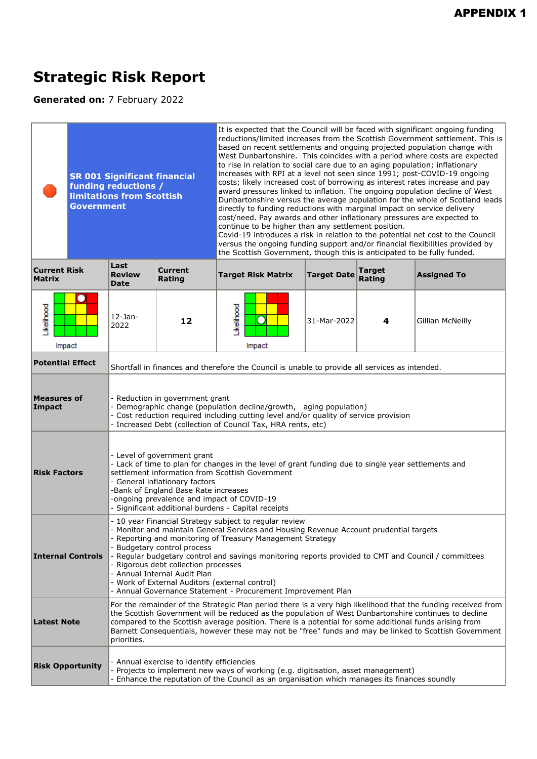## **Strategic Risk Report**

**Generated on:** 7 February 2022

| <b>Government</b>                    | <b>SR 001 Significant financial</b><br>funding reductions /<br><b>limitations from Scottish</b>                                                                                                                                                                                                                                                                                                                                                                                                                                              |                                                                                                       | It is expected that the Council will be faced with significant ongoing funding<br>reductions/limited increases from the Scottish Government settlement. This is<br>based on recent settlements and ongoing projected population change with<br>West Dunbartonshire. This coincides with a period where costs are expected<br>to rise in relation to social care due to an aging population; inflationary<br>increases with RPI at a level not seen since 1991; post-COVID-19 ongoing<br>costs; likely increased cost of borrowing as interest rates increase and pay<br>award pressures linked to inflation. The ongoing population decline of West<br>Dunbartonshire versus the average population for the whole of Scotland leads<br>directly to funding reductions with marginal impact on service delivery<br>cost/need. Pay awards and other inflationary pressures are expected to<br>continue to be higher than any settlement position.<br>Covid-19 introduces a risk in relation to the potential net cost to the Council<br>versus the ongoing funding support and/or financial flexibilities provided by<br>the Scottish Government, though this is anticipated to be fully funded. |                    |                         |                                                                                                                                                                                                                         |  |
|--------------------------------------|----------------------------------------------------------------------------------------------------------------------------------------------------------------------------------------------------------------------------------------------------------------------------------------------------------------------------------------------------------------------------------------------------------------------------------------------------------------------------------------------------------------------------------------------|-------------------------------------------------------------------------------------------------------|------------------------------------------------------------------------------------------------------------------------------------------------------------------------------------------------------------------------------------------------------------------------------------------------------------------------------------------------------------------------------------------------------------------------------------------------------------------------------------------------------------------------------------------------------------------------------------------------------------------------------------------------------------------------------------------------------------------------------------------------------------------------------------------------------------------------------------------------------------------------------------------------------------------------------------------------------------------------------------------------------------------------------------------------------------------------------------------------------------------------------------------------------------------------------------------------|--------------------|-------------------------|-------------------------------------------------------------------------------------------------------------------------------------------------------------------------------------------------------------------------|--|
| <b>Current Risk</b><br><b>Matrix</b> | Last<br><b>Review</b><br><b>Date</b>                                                                                                                                                                                                                                                                                                                                                                                                                                                                                                         | <b>Current</b><br>Rating                                                                              | <b>Target Risk Matrix</b>                                                                                                                                                                                                                                                                                                                                                                                                                                                                                                                                                                                                                                                                                                                                                                                                                                                                                                                                                                                                                                                                                                                                                                      | <b>Target Date</b> | <b>Target</b><br>Rating | <b>Assigned To</b>                                                                                                                                                                                                      |  |
| Likelihood<br>Impact                 | $12$ -Jan-<br>2022                                                                                                                                                                                                                                                                                                                                                                                                                                                                                                                           | 12                                                                                                    | Likelihood<br>Impact                                                                                                                                                                                                                                                                                                                                                                                                                                                                                                                                                                                                                                                                                                                                                                                                                                                                                                                                                                                                                                                                                                                                                                           | 31-Mar-2022        | 4                       | Gillian McNeilly                                                                                                                                                                                                        |  |
| <b>Potential Effect</b>              |                                                                                                                                                                                                                                                                                                                                                                                                                                                                                                                                              |                                                                                                       | Shortfall in finances and therefore the Council is unable to provide all services as intended.                                                                                                                                                                                                                                                                                                                                                                                                                                                                                                                                                                                                                                                                                                                                                                                                                                                                                                                                                                                                                                                                                                 |                    |                         |                                                                                                                                                                                                                         |  |
| <b>Measures of</b><br>Impact         |                                                                                                                                                                                                                                                                                                                                                                                                                                                                                                                                              | - Reduction in government grant                                                                       | Demographic change (population decline/growth, aging population)<br>- Cost reduction required including cutting level and/or quality of service provision<br>- Increased Debt (collection of Council Tax, HRA rents, etc)                                                                                                                                                                                                                                                                                                                                                                                                                                                                                                                                                                                                                                                                                                                                                                                                                                                                                                                                                                      |                    |                         |                                                                                                                                                                                                                         |  |
| <b>Risk Factors</b>                  |                                                                                                                                                                                                                                                                                                                                                                                                                                                                                                                                              | - Level of government grant<br>- General inflationary factors<br>-Bank of England Base Rate increases | - Lack of time to plan for changes in the level of grant funding due to single year settlements and<br>settlement information from Scottish Government<br>-ongoing prevalence and impact of COVID-19<br>- Significant additional burdens - Capital receipts                                                                                                                                                                                                                                                                                                                                                                                                                                                                                                                                                                                                                                                                                                                                                                                                                                                                                                                                    |                    |                         |                                                                                                                                                                                                                         |  |
| <b>Internal Controls</b>             | - 10 year Financial Strategy subject to regular review<br>- Monitor and maintain General Services and Housing Revenue Account prudential targets<br>- Reporting and monitoring of Treasury Management Strategy<br>- Budgetary control process<br>- Regular budgetary control and savings monitoring reports provided to CMT and Council / committees<br>Rigorous debt collection processes<br>- Annual Internal Audit Plan<br>- Work of External Auditors (external control)<br>- Annual Governance Statement - Procurement Improvement Plan |                                                                                                       |                                                                                                                                                                                                                                                                                                                                                                                                                                                                                                                                                                                                                                                                                                                                                                                                                                                                                                                                                                                                                                                                                                                                                                                                |                    |                         |                                                                                                                                                                                                                         |  |
| <b>Latest Note</b>                   | priorities.                                                                                                                                                                                                                                                                                                                                                                                                                                                                                                                                  |                                                                                                       | the Scottish Government will be reduced as the population of West Dunbartonshire continues to decline<br>compared to the Scottish average position. There is a potential for some additional funds arising from                                                                                                                                                                                                                                                                                                                                                                                                                                                                                                                                                                                                                                                                                                                                                                                                                                                                                                                                                                                |                    |                         | For the remainder of the Strategic Plan period there is a very high likelihood that the funding received from<br>Barnett Consequentials, however these may not be "free" funds and may be linked to Scottish Government |  |
| <b>Risk Opportunity</b>              |                                                                                                                                                                                                                                                                                                                                                                                                                                                                                                                                              | - Annual exercise to identify efficiencies                                                            | Projects to implement new ways of working (e.g. digitisation, asset management)<br>Enhance the reputation of the Council as an organisation which manages its finances soundly                                                                                                                                                                                                                                                                                                                                                                                                                                                                                                                                                                                                                                                                                                                                                                                                                                                                                                                                                                                                                 |                    |                         |                                                                                                                                                                                                                         |  |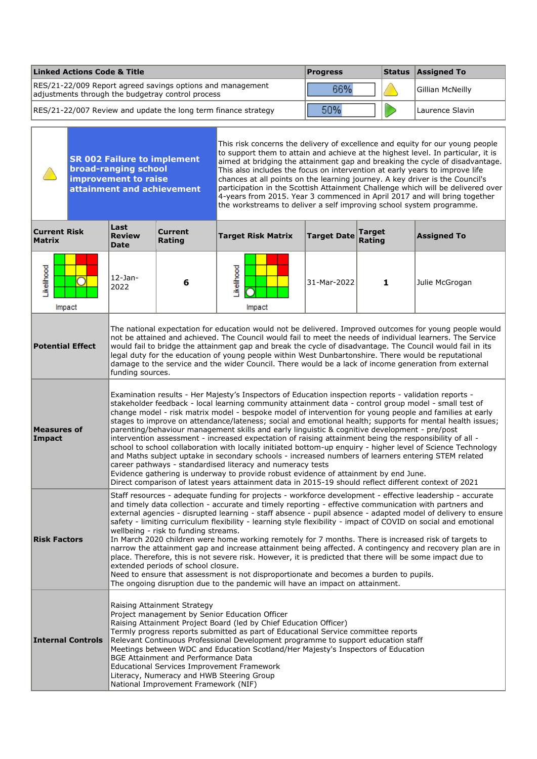| <b>Linked Actions Code &amp; Title</b>                                                                          | <b>Progress</b> | Status Assigned To |
|-----------------------------------------------------------------------------------------------------------------|-----------------|--------------------|
| RES/21-22/009 Report agreed savings options and management<br>adjustments through the budgetray control process | 66%             | Gillian McNeilly   |
| RES/21-22/007 Review and update the long term finance strategy                                                  | 50%             | Laurence Slavin    |
|                                                                                                                 |                 |                    |

|                                      |                          | <b>SR 002 Failure to implement</b><br><b>broad-ranging school</b><br>improvement to raise<br>attainment and achievement                                                                                                                                                                                                                                                                                                                                                                                                                                                                                                                                                                                                                                                                                                                                                                                                                                                                                                         |                                                                                                                   | This risk concerns the delivery of excellence and equity for our young people<br>to support them to attain and achieve at the highest level. In particular, it is<br>aimed at bridging the attainment gap and breaking the cycle of disadvantage.<br>This also includes the focus on intervention at early years to improve life<br>chances at all points on the learning journey. A key driver is the Council's<br>participation in the Scottish Attainment Challenge which will be delivered over<br>4-years from 2015. Year 3 commenced in April 2017 and will bring together<br>the workstreams to deliver a self improving school system programme.                                                                                                                                                                                                                                                                                                                                                                                                                                                                                                    |                    |                  |                                                                                                         |  |  |
|--------------------------------------|--------------------------|---------------------------------------------------------------------------------------------------------------------------------------------------------------------------------------------------------------------------------------------------------------------------------------------------------------------------------------------------------------------------------------------------------------------------------------------------------------------------------------------------------------------------------------------------------------------------------------------------------------------------------------------------------------------------------------------------------------------------------------------------------------------------------------------------------------------------------------------------------------------------------------------------------------------------------------------------------------------------------------------------------------------------------|-------------------------------------------------------------------------------------------------------------------|-------------------------------------------------------------------------------------------------------------------------------------------------------------------------------------------------------------------------------------------------------------------------------------------------------------------------------------------------------------------------------------------------------------------------------------------------------------------------------------------------------------------------------------------------------------------------------------------------------------------------------------------------------------------------------------------------------------------------------------------------------------------------------------------------------------------------------------------------------------------------------------------------------------------------------------------------------------------------------------------------------------------------------------------------------------------------------------------------------------------------------------------------------------|--------------------|------------------|---------------------------------------------------------------------------------------------------------|--|--|
| <b>Current Risk</b><br><b>Matrix</b> |                          | Last<br><b>Review</b><br><b>Date</b>                                                                                                                                                                                                                                                                                                                                                                                                                                                                                                                                                                                                                                                                                                                                                                                                                                                                                                                                                                                            | <b>Current</b><br>Rating                                                                                          | <b>Target Risk Matrix</b>                                                                                                                                                                                                                                                                                                                                                                                                                                                                                                                                                                                                                                                                                                                                                                                                                                                                                                                                                                                                                                                                                                                                   | <b>Target Date</b> | Target<br>Rating | <b>Assigned To</b>                                                                                      |  |  |
| Likelihood                           | Impact                   | $12$ -Jan-<br>2022                                                                                                                                                                                                                                                                                                                                                                                                                                                                                                                                                                                                                                                                                                                                                                                                                                                                                                                                                                                                              | 6                                                                                                                 | Likelihood<br>31-Mar-2022<br>1<br>Julie McGrogan<br>Impact                                                                                                                                                                                                                                                                                                                                                                                                                                                                                                                                                                                                                                                                                                                                                                                                                                                                                                                                                                                                                                                                                                  |                    |                  |                                                                                                         |  |  |
| <b>Potential Effect</b>              |                          | funding sources.                                                                                                                                                                                                                                                                                                                                                                                                                                                                                                                                                                                                                                                                                                                                                                                                                                                                                                                                                                                                                |                                                                                                                   | not be attained and achieved. The Council would fail to meet the needs of individual learners. The Service<br>would fail to bridge the attainment gap and break the cycle of disadvantage. The Council would fail in its<br>legal duty for the education of young people within West Dunbartonshire. There would be reputational<br>damage to the service and the wider Council. There would be a lack of income generation from external                                                                                                                                                                                                                                                                                                                                                                                                                                                                                                                                                                                                                                                                                                                   |                    |                  | The national expectation for education would not be delivered. Improved outcomes for young people would |  |  |
| <b>Measures of</b><br>Impact         |                          | Examination results - Her Majesty's Inspectors of Education inspection reports - validation reports -<br>stakeholder feedback - local learning community attainment data - control group model - small test of<br>change model - risk matrix model - bespoke model of intervention for young people and families at early<br>stages to improve on attendance/lateness; social and emotional health; supports for mental health issues;<br>parenting/behaviour management skills and early linguistic & cognitive development - pre/post<br>intervention assessment - increased expectation of raising attainment being the responsibility of all -<br>school to school collaboration with locally initiated bottom-up enquiry - higher level of Science Technology<br>and Maths subject uptake in secondary schools - increased numbers of learners entering STEM related<br>career pathways - standardised literacy and numeracy tests<br>Evidence gathering is underway to provide robust evidence of attainment by end June. |                                                                                                                   |                                                                                                                                                                                                                                                                                                                                                                                                                                                                                                                                                                                                                                                                                                                                                                                                                                                                                                                                                                                                                                                                                                                                                             |                    |                  |                                                                                                         |  |  |
| <b>Risk Factors</b>                  |                          |                                                                                                                                                                                                                                                                                                                                                                                                                                                                                                                                                                                                                                                                                                                                                                                                                                                                                                                                                                                                                                 |                                                                                                                   | Direct comparison of latest years attainment data in 2015-19 should reflect different context of 2021<br>Staff resources - adequate funding for projects - workforce development - effective leadership - accurate<br>and timely data collection - accurate and timely reporting - effective communication with partners and<br>external agencies - disrupted learning - staff absence - pupil absence - adapted model of delivery to ensure<br>safety - limiting curriculum flexibility - learning style flexibility - impact of COVID on social and emotional<br>wellbeing - risk to funding streams.<br>In March 2020 children were home working remotely for 7 months. There is increased risk of targets to<br>narrow the attainment gap and increase attainment being affected. A contingency and recovery plan are in<br>place. Therefore, this is not severe risk. However, it is predicted that there will be some impact due to<br>extended periods of school closure.<br>Need to ensure that assessment is not disproportionate and becomes a burden to pupils.<br>The ongoing disruption due to the pandemic will have an impact on attainment. |                    |                  |                                                                                                         |  |  |
|                                      | <b>Internal Controls</b> |                                                                                                                                                                                                                                                                                                                                                                                                                                                                                                                                                                                                                                                                                                                                                                                                                                                                                                                                                                                                                                 | Raising Attainment Strategy<br><b>BGE Attainment and Performance Data</b><br>National Improvement Framework (NIF) | Project management by Senior Education Officer<br>Raising Attainment Project Board (led by Chief Education Officer)<br>Termly progress reports submitted as part of Educational Service committee reports<br>Relevant Continuous Professional Development programme to support education staff<br>Meetings between WDC and Education Scotland/Her Majesty's Inspectors of Education<br><b>Educational Services Improvement Framework</b><br>Literacy, Numeracy and HWB Steering Group                                                                                                                                                                                                                                                                                                                                                                                                                                                                                                                                                                                                                                                                       |                    |                  |                                                                                                         |  |  |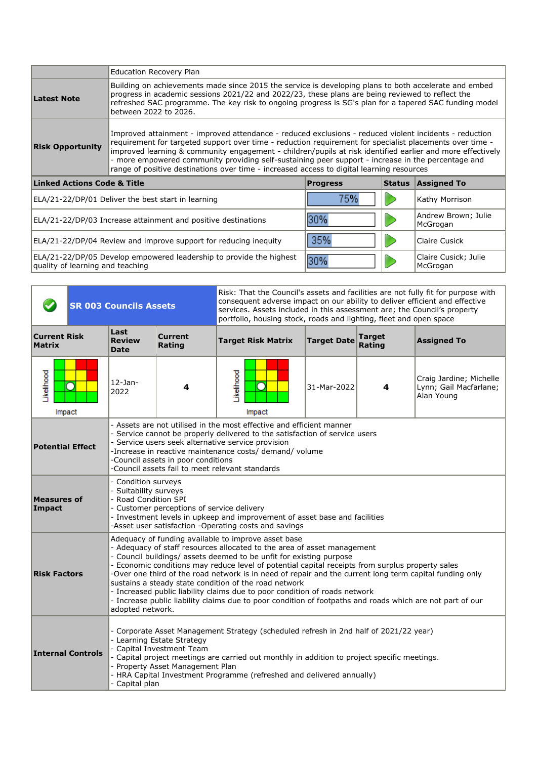|                                                                                          | <b>Education Recovery Plan</b>                                                                                                                                                                                                                                                                                                                                                                                                                                                                                                      |                 |               |                                  |  |  |  |
|------------------------------------------------------------------------------------------|-------------------------------------------------------------------------------------------------------------------------------------------------------------------------------------------------------------------------------------------------------------------------------------------------------------------------------------------------------------------------------------------------------------------------------------------------------------------------------------------------------------------------------------|-----------------|---------------|----------------------------------|--|--|--|
| Latest Note                                                                              | Building on achievements made since 2015 the service is developing plans to both accelerate and embed<br>progress in academic sessions 2021/22 and 2022/23, these plans are being reviewed to reflect the<br>refreshed SAC programme. The key risk to ongoing progress is SG's plan for a tapered SAC funding model<br>between 2022 to 2026.                                                                                                                                                                                        |                 |               |                                  |  |  |  |
| <b>Risk Opportunity</b>                                                                  | Improved attainment - improved attendance - reduced exclusions - reduced violent incidents - reduction<br>requirement for targeted support over time - reduction requirement for specialist placements over time -<br>improved learning & community engagement - children/pupils at risk identified earlier and more effectively<br>- more empowered community providing self-sustaining peer support - increase in the percentage and<br>range of positive destinations over time - increased access to digital learning resources |                 |               |                                  |  |  |  |
| <b>Linked Actions Code &amp; Title</b>                                                   |                                                                                                                                                                                                                                                                                                                                                                                                                                                                                                                                     | <b>Progress</b> | <b>Status</b> | <b>Assigned To</b>               |  |  |  |
|                                                                                          | ELA/21-22/DP/01 Deliver the best start in learning                                                                                                                                                                                                                                                                                                                                                                                                                                                                                  | 75%             |               | Kathy Morrison                   |  |  |  |
|                                                                                          | Andrew Brown; Julie<br>30%<br>ELA/21-22/DP/03 Increase attainment and positive destinations<br>McGrogan                                                                                                                                                                                                                                                                                                                                                                                                                             |                 |               |                                  |  |  |  |
| 35%<br>ELA/21-22/DP/04 Review and improve support for reducing inequity<br>Claire Cusick |                                                                                                                                                                                                                                                                                                                                                                                                                                                                                                                                     |                 |               |                                  |  |  |  |
| quality of learning and teaching                                                         | ELA/21-22/DP/05 Develop empowered leadership to provide the highest                                                                                                                                                                                                                                                                                                                                                                                                                                                                 |                 |               | Claire Cusick; Julie<br>McGrogan |  |  |  |

|                                      | <b>SR 003 Councils Assets</b>                                                                                                                                                                                                                                                                                                                                               |                                                                                                                                                                                                                                                                |                                                                                                                                                                                                                                                                                                                                                             | Risk: That the Council's assets and facilities are not fully fit for purpose with<br>consequent adverse impact on our ability to deliver efficient and effective<br>services. Assets included in this assessment are; the Council's property<br>portfolio, housing stock, roads and lighting, fleet and open space                                                                                                                                                                                                                                                                                                                                                       |                    |                         |                    |  |  |
|--------------------------------------|-----------------------------------------------------------------------------------------------------------------------------------------------------------------------------------------------------------------------------------------------------------------------------------------------------------------------------------------------------------------------------|----------------------------------------------------------------------------------------------------------------------------------------------------------------------------------------------------------------------------------------------------------------|-------------------------------------------------------------------------------------------------------------------------------------------------------------------------------------------------------------------------------------------------------------------------------------------------------------------------------------------------------------|--------------------------------------------------------------------------------------------------------------------------------------------------------------------------------------------------------------------------------------------------------------------------------------------------------------------------------------------------------------------------------------------------------------------------------------------------------------------------------------------------------------------------------------------------------------------------------------------------------------------------------------------------------------------------|--------------------|-------------------------|--------------------|--|--|
| <b>Current Risk</b><br><b>Matrix</b> | Last                                                                                                                                                                                                                                                                                                                                                                        | <b>Review</b><br><b>Date</b>                                                                                                                                                                                                                                   | <b>Current</b><br>Rating                                                                                                                                                                                                                                                                                                                                    | <b>Target Risk Matrix</b>                                                                                                                                                                                                                                                                                                                                                                                                                                                                                                                                                                                                                                                | <b>Target Date</b> | <b>Target</b><br>Rating | <b>Assigned To</b> |  |  |
| Likelihood<br>C<br>Impact            |                                                                                                                                                                                                                                                                                                                                                                             | $12$ -Jan-<br>2022                                                                                                                                                                                                                                             | 4                                                                                                                                                                                                                                                                                                                                                           | Likelihood<br>Craig Jardine; Michelle<br>31-Mar-2022<br>4<br>Lynn; Gail Macfarlane;<br>Alan Young<br>Impact                                                                                                                                                                                                                                                                                                                                                                                                                                                                                                                                                              |                    |                         |                    |  |  |
| <b>Potential Effect</b>              |                                                                                                                                                                                                                                                                                                                                                                             |                                                                                                                                                                                                                                                                | - Assets are not utilised in the most effective and efficient manner<br>Service cannot be properly delivered to the satisfaction of service users<br>- Service users seek alternative service provision<br>-Increase in reactive maintenance costs/ demand/ volume<br>-Council assets in poor conditions<br>-Council assets fail to meet relevant standards |                                                                                                                                                                                                                                                                                                                                                                                                                                                                                                                                                                                                                                                                          |                    |                         |                    |  |  |
| <b>Measures of</b><br>Impact         |                                                                                                                                                                                                                                                                                                                                                                             | - Condition surveys<br><b>Suitability surveys</b><br>- Road Condition SPI<br>- Customer perceptions of service delivery<br>- Investment levels in upkeep and improvement of asset base and facilities<br>-Asset user satisfaction -Operating costs and savings |                                                                                                                                                                                                                                                                                                                                                             |                                                                                                                                                                                                                                                                                                                                                                                                                                                                                                                                                                                                                                                                          |                    |                         |                    |  |  |
| <b>Risk Factors</b>                  |                                                                                                                                                                                                                                                                                                                                                                             | adopted network.                                                                                                                                                                                                                                               |                                                                                                                                                                                                                                                                                                                                                             | Adequacy of funding available to improve asset base<br>- Adequacy of staff resources allocated to the area of asset management<br>- Council buildings/ assets deemed to be unfit for existing purpose<br>- Economic conditions may reduce level of potential capital receipts from surplus property sales<br>-Over one third of the road network is in need of repair and the current long term capital funding only<br>sustains a steady state condition of the road network<br>- Increased public liability claims due to poor condition of roads network<br>- Increase public liability claims due to poor condition of footpaths and roads which are not part of our |                    |                         |                    |  |  |
| <b>Internal Controls</b>             | - Corporate Asset Management Strategy (scheduled refresh in 2nd half of 2021/22 year)<br>- Learning Estate Strategy<br>- Capital Investment Team<br>- Capital project meetings are carried out monthly in addition to project specific meetings.<br>- Property Asset Management Plan<br>HRA Capital Investment Programme (refreshed and delivered annually)<br>Capital plan |                                                                                                                                                                                                                                                                |                                                                                                                                                                                                                                                                                                                                                             |                                                                                                                                                                                                                                                                                                                                                                                                                                                                                                                                                                                                                                                                          |                    |                         |                    |  |  |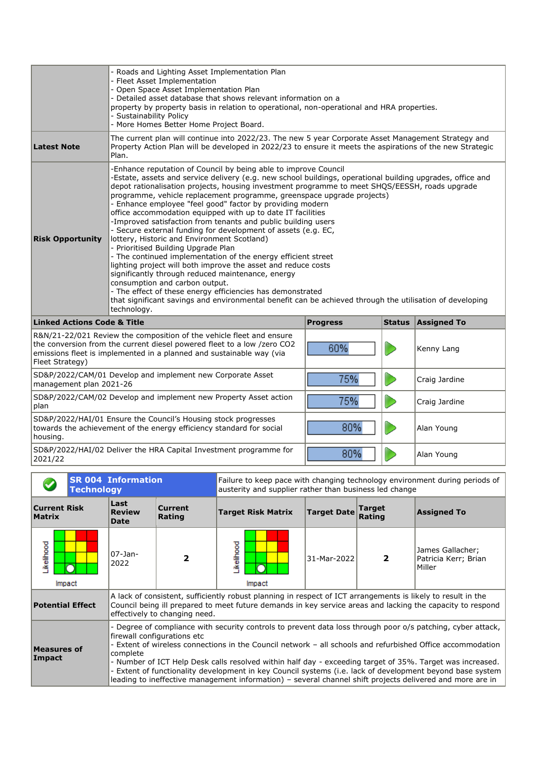|                                                                                                                                                           | Roads and Lighting Asset Implementation Plan<br>- Fleet Asset Implementation<br>- Open Space Asset Implementation Plan<br>- Detailed asset database that shows relevant information on a<br>property by property basis in relation to operational, non-operational and HRA properties.<br>- Sustainability Policy<br>- More Homes Better Home Project Board. |                                                                                                                                                                                                                                                                                                                                                                                                                                                                                                                                                                                                                                                                                                                                                                                                                                                                                                                                     |               |                    |  |  |  |  |
|-----------------------------------------------------------------------------------------------------------------------------------------------------------|--------------------------------------------------------------------------------------------------------------------------------------------------------------------------------------------------------------------------------------------------------------------------------------------------------------------------------------------------------------|-------------------------------------------------------------------------------------------------------------------------------------------------------------------------------------------------------------------------------------------------------------------------------------------------------------------------------------------------------------------------------------------------------------------------------------------------------------------------------------------------------------------------------------------------------------------------------------------------------------------------------------------------------------------------------------------------------------------------------------------------------------------------------------------------------------------------------------------------------------------------------------------------------------------------------------|---------------|--------------------|--|--|--|--|
| <b>Latest Note</b>                                                                                                                                        | The current plan will continue into 2022/23. The new 5 year Corporate Asset Management Strategy and<br>Property Action Plan will be developed in 2022/23 to ensure it meets the aspirations of the new Strategic<br>Plan.                                                                                                                                    |                                                                                                                                                                                                                                                                                                                                                                                                                                                                                                                                                                                                                                                                                                                                                                                                                                                                                                                                     |               |                    |  |  |  |  |
| <b>Risk Opportunity</b>                                                                                                                                   | lottery, Historic and Environment Scotland)<br>- Prioritised Building Upgrade Plan<br>significantly through reduced maintenance, energy<br>consumption and carbon output.<br>technology.                                                                                                                                                                     | -Enhance reputation of Council by being able to improve Council<br>-Estate, assets and service delivery (e.g. new school buildings, operational building upgrades, office and<br>depot rationalisation projects, housing investment programme to meet SHQS/EESSH, roads upgrade<br>programme, vehicle replacement programme, greenspace upgrade projects)<br>- Enhance employee "feel good" factor by providing modern<br>office accommodation equipped with up to date IT facilities<br>-Improved satisfaction from tenants and public building users<br>- Secure external funding for development of assets (e.g. EC,<br>- The continued implementation of the energy efficient street<br>lighting project will both improve the asset and reduce costs<br>- The effect of these energy efficiencies has demonstrated<br>that significant savings and environmental benefit can be achieved through the utilisation of developing |               |                    |  |  |  |  |
| <b>Linked Actions Code &amp; Title</b>                                                                                                                    |                                                                                                                                                                                                                                                                                                                                                              | <b>Progress</b>                                                                                                                                                                                                                                                                                                                                                                                                                                                                                                                                                                                                                                                                                                                                                                                                                                                                                                                     | <b>Status</b> | <b>Assigned To</b> |  |  |  |  |
| Fleet Strategy)                                                                                                                                           | R&N/21-22/021 Review the composition of the vehicle fleet and ensure<br>the conversion from the current diesel powered fleet to a low /zero CO2<br>emissions fleet is implemented in a planned and sustainable way (via                                                                                                                                      | 60%                                                                                                                                                                                                                                                                                                                                                                                                                                                                                                                                                                                                                                                                                                                                                                                                                                                                                                                                 |               | Kenny Lang         |  |  |  |  |
| SD&P/2022/CAM/01 Develop and implement new Corporate Asset<br>management plan 2021-26                                                                     | 75%                                                                                                                                                                                                                                                                                                                                                          |                                                                                                                                                                                                                                                                                                                                                                                                                                                                                                                                                                                                                                                                                                                                                                                                                                                                                                                                     | Craig Jardine |                    |  |  |  |  |
| plan                                                                                                                                                      | SD&P/2022/CAM/02 Develop and implement new Property Asset action                                                                                                                                                                                                                                                                                             | 75%                                                                                                                                                                                                                                                                                                                                                                                                                                                                                                                                                                                                                                                                                                                                                                                                                                                                                                                                 |               | Craig Jardine      |  |  |  |  |
| SD&P/2022/HAI/01 Ensure the Council's Housing stock progresses<br>80%<br>towards the achievement of the energy efficiency standard for social<br>housing. |                                                                                                                                                                                                                                                                                                                                                              |                                                                                                                                                                                                                                                                                                                                                                                                                                                                                                                                                                                                                                                                                                                                                                                                                                                                                                                                     |               | Alan Young         |  |  |  |  |
| 2021/22                                                                                                                                                   | SD&P/2022/HAI/02 Deliver the HRA Capital Investment programme for                                                                                                                                                                                                                                                                                            | 80%                                                                                                                                                                                                                                                                                                                                                                                                                                                                                                                                                                                                                                                                                                                                                                                                                                                                                                                                 |               | Alan Young         |  |  |  |  |

| <b>SR 004 Information</b><br><b>Technology</b> |  |                                      | Failure to keep pace with changing technology environment during periods of<br>austerity and supplier rather than business led change |                                                                                                                                                                                                                                                                                                                                      |                    |                         |                                                                                                                                                                                                                          |
|------------------------------------------------|--|--------------------------------------|---------------------------------------------------------------------------------------------------------------------------------------|--------------------------------------------------------------------------------------------------------------------------------------------------------------------------------------------------------------------------------------------------------------------------------------------------------------------------------------|--------------------|-------------------------|--------------------------------------------------------------------------------------------------------------------------------------------------------------------------------------------------------------------------|
| <b>Current Risk</b><br><b>Matrix</b>           |  | Last<br><b>Review</b><br><b>Date</b> | <b>Current</b><br>Rating                                                                                                              | <b>Target Risk Matrix</b>                                                                                                                                                                                                                                                                                                            | <b>Target Date</b> | <b>Target</b><br>Rating | <b>Assigned To</b>                                                                                                                                                                                                       |
| <b>kelihood</b><br>Impact                      |  | $07-$ Jan-<br>2022                   | $\overline{\mathbf{2}}$                                                                                                               | ikelihood<br>Impact                                                                                                                                                                                                                                                                                                                  | 31-Mar-2022        | 2                       | James Gallacher;<br>Patricia Kerr; Brian<br>Miller                                                                                                                                                                       |
| <b>Potential Effect</b>                        |  |                                      | effectively to changing need.                                                                                                         | A lack of consistent, sufficiently robust planning in respect of ICT arrangements is likely to result in the<br>Council being ill prepared to meet future demands in key service areas and lacking the capacity to respond                                                                                                           |                    |                         |                                                                                                                                                                                                                          |
| Measures of<br>Impact                          |  | complete                             | firewall configurations etc                                                                                                           | - Extent of wireless connections in the Council network – all schools and refurbished Office accommodation<br>- Number of ICT Help Desk calls resolved within half day - exceeding target of 35%. Target was increased.<br>leading to ineffective management information) – several channel shift projects delivered and more are in |                    |                         | - Degree of compliance with security controls to prevent data loss through poor o/s patching, cyber attack,<br>- Extent of functionality development in key Council systems (i.e. lack of development beyond base system |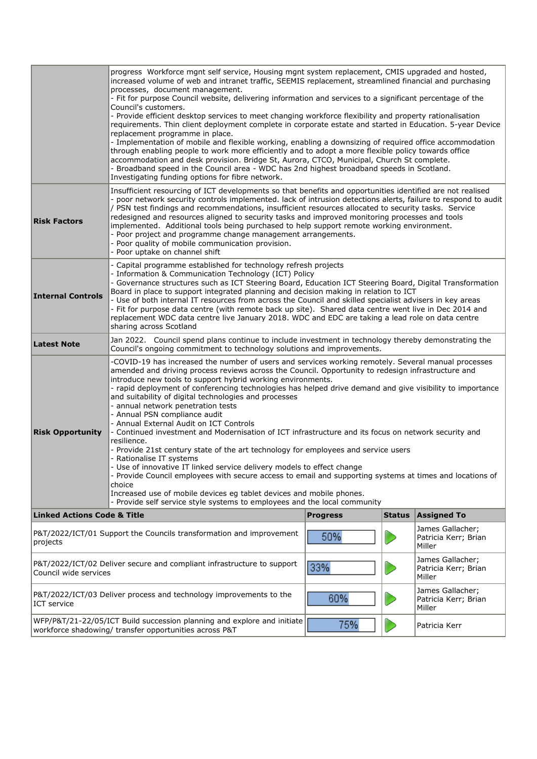| <b>Risk Factors</b>                    | progress Workforce mgnt self service, Housing mgnt system replacement, CMIS upgraded and hosted,<br>increased volume of web and intranet traffic, SEEMIS replacement, streamlined financial and purchasing<br>processes, document management.<br>- Fit for purpose Council website, delivering information and services to a significant percentage of the<br>Council's customers.<br>- Provide efficient desktop services to meet changing workforce flexibility and property rationalisation<br>requirements. Thin client deployment complete in corporate estate and started in Education. 5-year Device<br>replacement programme in place.<br>- Implementation of mobile and flexible working, enabling a downsizing of required office accommodation<br>through enabling people to work more efficiently and to adopt a more flexible policy towards office<br>accommodation and desk provision. Bridge St, Aurora, CTCO, Municipal, Church St complete.<br>- Broadband speed in the Council area - WDC has 2nd highest broadband speeds in Scotland.<br>Investigating funding options for fibre network.<br>Insufficient resourcing of ICT developments so that benefits and opportunities identified are not realised<br>- poor network security controls implemented. lack of intrusion detections alerts, failure to respond to audit<br>/ PSN test findings and recommendations, insufficient resources allocated to security tasks. Service<br>redesigned and resources aligned to security tasks and improved monitoring processes and tools<br>implemented. Additional tools being purchased to help support remote working environment.<br>- Poor project and programme change management arrangements. |                 |               |                                                    |  |  |  |  |
|----------------------------------------|-----------------------------------------------------------------------------------------------------------------------------------------------------------------------------------------------------------------------------------------------------------------------------------------------------------------------------------------------------------------------------------------------------------------------------------------------------------------------------------------------------------------------------------------------------------------------------------------------------------------------------------------------------------------------------------------------------------------------------------------------------------------------------------------------------------------------------------------------------------------------------------------------------------------------------------------------------------------------------------------------------------------------------------------------------------------------------------------------------------------------------------------------------------------------------------------------------------------------------------------------------------------------------------------------------------------------------------------------------------------------------------------------------------------------------------------------------------------------------------------------------------------------------------------------------------------------------------------------------------------------------------------------------------------------------------------------------------------------|-----------------|---------------|----------------------------------------------------|--|--|--|--|
|                                        | - Poor quality of mobile communication provision.<br>- Poor uptake on channel shift                                                                                                                                                                                                                                                                                                                                                                                                                                                                                                                                                                                                                                                                                                                                                                                                                                                                                                                                                                                                                                                                                                                                                                                                                                                                                                                                                                                                                                                                                                                                                                                                                                   |                 |               |                                                    |  |  |  |  |
| <b>Internal Controls</b>               | - Capital programme established for technology refresh projects<br>- Information & Communication Technology (ICT) Policy<br>- Governance structures such as ICT Steering Board, Education ICT Steering Board, Digital Transformation<br>Board in place to support integrated planning and decision making in relation to ICT<br>- Use of both internal IT resources from across the Council and skilled specialist advisers in key areas<br>- Fit for purpose data centre (with remote back up site). Shared data centre went live in Dec 2014 and<br>replacement WDC data centre live January 2018. WDC and EDC are taking a lead role on data centre<br>sharing across Scotland                                                                                                                                                                                                                                                                                                                                                                                                                                                                                                                                                                                                                                                                                                                                                                                                                                                                                                                                                                                                                                     |                 |               |                                                    |  |  |  |  |
| <b>Latest Note</b>                     | Jan 2022. Council spend plans continue to include investment in technology thereby demonstrating the<br>Council's ongoing commitment to technology solutions and improvements.                                                                                                                                                                                                                                                                                                                                                                                                                                                                                                                                                                                                                                                                                                                                                                                                                                                                                                                                                                                                                                                                                                                                                                                                                                                                                                                                                                                                                                                                                                                                        |                 |               |                                                    |  |  |  |  |
| <b>Risk Opportunity</b>                | -COVID-19 has increased the number of users and services working remotely. Several manual processes<br>amended and driving process reviews across the Council. Opportunity to redesign infrastructure and<br>introduce new tools to support hybrid working environments.<br>- rapid deployment of conferencing technologies has helped drive demand and give visibility to importance<br>and suitability of digital technologies and processes<br>- annual network penetration tests<br>- Annual PSN compliance audit<br>- Annual External Audit on ICT Controls<br>- Continued investment and Modernisation of ICT infrastructure and its focus on network security and<br>resilience.<br>- Provide 21st century state of the art technology for employees and service users<br>- Rationalise IT systems<br>- Use of innovative IT linked service delivery models to effect change<br>- Provide Council employees with secure access to email and supporting systems at times and locations of<br>choice<br>Increased use of mobile devices eg tablet devices and mobile phones.<br>- Provide self service style systems to employees and the local community                                                                                                                                                                                                                                                                                                                                                                                                                                                                                                                                                        |                 |               |                                                    |  |  |  |  |
| <b>Linked Actions Code &amp; Title</b> |                                                                                                                                                                                                                                                                                                                                                                                                                                                                                                                                                                                                                                                                                                                                                                                                                                                                                                                                                                                                                                                                                                                                                                                                                                                                                                                                                                                                                                                                                                                                                                                                                                                                                                                       | <b>Progress</b> | <b>Status</b> | <b>Assigned To</b>                                 |  |  |  |  |
| projects                               | P&T/2022/ICT/01 Support the Councils transformation and improvement                                                                                                                                                                                                                                                                                                                                                                                                                                                                                                                                                                                                                                                                                                                                                                                                                                                                                                                                                                                                                                                                                                                                                                                                                                                                                                                                                                                                                                                                                                                                                                                                                                                   | 50%             |               | James Gallacher;<br>Patricia Kerr; Brian<br>Miller |  |  |  |  |
| Council wide services                  | P&T/2022/ICT/02 Deliver secure and compliant infrastructure to support                                                                                                                                                                                                                                                                                                                                                                                                                                                                                                                                                                                                                                                                                                                                                                                                                                                                                                                                                                                                                                                                                                                                                                                                                                                                                                                                                                                                                                                                                                                                                                                                                                                | 33%             |               | James Gallacher;<br>Patricia Kerr; Brian<br>Miller |  |  |  |  |
| ICT service                            | P&T/2022/ICT/03 Deliver process and technology improvements to the                                                                                                                                                                                                                                                                                                                                                                                                                                                                                                                                                                                                                                                                                                                                                                                                                                                                                                                                                                                                                                                                                                                                                                                                                                                                                                                                                                                                                                                                                                                                                                                                                                                    | 60%             |               | James Gallacher;<br>Patricia Kerr; Brian<br>Miller |  |  |  |  |
|                                        | WFP/P&T/21-22/05/ICT Build succession planning and explore and initiate<br>workforce shadowing/ transfer opportunities across P&T                                                                                                                                                                                                                                                                                                                                                                                                                                                                                                                                                                                                                                                                                                                                                                                                                                                                                                                                                                                                                                                                                                                                                                                                                                                                                                                                                                                                                                                                                                                                                                                     | 75%             |               | Patricia Kerr                                      |  |  |  |  |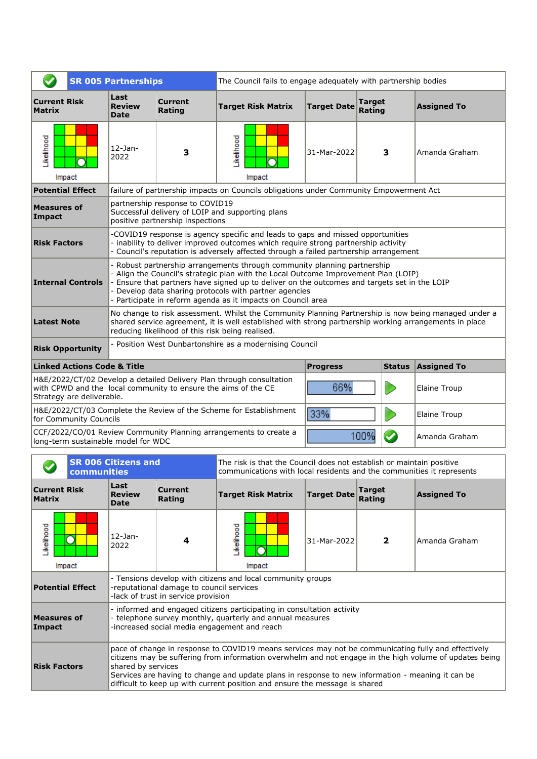|                                                                                                                                                                                                   | <b>SR 005 Partnerships</b>                                                                       |                                                                     | The Council fails to engage adequately with partnership bodies                                                                                                                                                                                                                                                                                                                  |             |      |                     |  |  |
|---------------------------------------------------------------------------------------------------------------------------------------------------------------------------------------------------|--------------------------------------------------------------------------------------------------|---------------------------------------------------------------------|---------------------------------------------------------------------------------------------------------------------------------------------------------------------------------------------------------------------------------------------------------------------------------------------------------------------------------------------------------------------------------|-------------|------|---------------------|--|--|
| <b>Current Risk</b><br><b>Matrix</b>                                                                                                                                                              | Last<br><b>Review</b><br><b>Date</b>                                                             | <b>Current</b><br>Rating                                            | <b>Target</b><br><b>Target Risk Matrix</b><br><b>Target Date</b><br><b>Assigned To</b><br>Rating                                                                                                                                                                                                                                                                                |             |      |                     |  |  |
| Likelihood<br>Impact                                                                                                                                                                              | $12$ -Jan-<br>2022                                                                               | з                                                                   | Likelihood<br>Impact                                                                                                                                                                                                                                                                                                                                                            | 31-Mar-2022 | 3    | Amanda Graham       |  |  |
| <b>Potential Effect</b>                                                                                                                                                                           |                                                                                                  |                                                                     | failure of partnership impacts on Councils obligations under Community Empowerment Act                                                                                                                                                                                                                                                                                          |             |      |                     |  |  |
| <b>Measures of</b><br>Impact                                                                                                                                                                      |                                                                                                  | partnership response to COVID19<br>positive partnership inspections | Successful delivery of LOIP and supporting plans                                                                                                                                                                                                                                                                                                                                |             |      |                     |  |  |
| <b>Risk Factors</b>                                                                                                                                                                               |                                                                                                  |                                                                     | -COVID19 response is agency specific and leads to gaps and missed opportunities<br>- inability to deliver improved outcomes which require strong partnership activity<br>Council's reputation is adversely affected through a failed partnership arrangement                                                                                                                    |             |      |                     |  |  |
| <b>Internal Controls</b>                                                                                                                                                                          |                                                                                                  |                                                                     | Robust partnership arrangements through community planning partnership<br>Align the Council's strategic plan with the Local Outcome Improvement Plan (LOIP)<br>Ensure that partners have signed up to deliver on the outcomes and targets set in the LOIP<br>Develop data sharing protocols with partner agencies<br>Participate in reform agenda as it impacts on Council area |             |      |                     |  |  |
| <b>Latest Note</b>                                                                                                                                                                                |                                                                                                  |                                                                     | No change to risk assessment. Whilst the Community Planning Partnership is now being managed under a<br>shared service agreement, it is well established with strong partnership working arrangements in place<br>reducing likelihood of this risk being realised.                                                                                                              |             |      |                     |  |  |
| <b>Risk Opportunity</b>                                                                                                                                                                           |                                                                                                  |                                                                     | Position West Dunbartonshire as a modernising Council                                                                                                                                                                                                                                                                                                                           |             |      |                     |  |  |
|                                                                                                                                                                                                   | <b>Linked Actions Code &amp; Title</b><br><b>Assigned To</b><br><b>Status</b><br><b>Progress</b> |                                                                     |                                                                                                                                                                                                                                                                                                                                                                                 |             |      |                     |  |  |
| H&E/2022/CT/02 Develop a detailed Delivery Plan through consultation<br>66%<br>with CPWD and the local community to ensure the aims of the CE<br><b>Elaine Troup</b><br>Strategy are deliverable. |                                                                                                  |                                                                     |                                                                                                                                                                                                                                                                                                                                                                                 |             |      |                     |  |  |
| for Community Councils                                                                                                                                                                            |                                                                                                  |                                                                     | H&E/2022/CT/03 Complete the Review of the Scheme for Establishment                                                                                                                                                                                                                                                                                                              | 33%         |      | <b>Elaine Troup</b> |  |  |
| long-term sustainable model for WDC                                                                                                                                                               |                                                                                                  |                                                                     | CCF/2022/CO/01 Review Community Planning arrangements to create a                                                                                                                                                                                                                                                                                                               |             | 100% | Amanda Graham       |  |  |

| <b>SR 006 Citizens and</b><br>communities |                                                                                                                                                                                                                                                                                                                                                                                                                                                 |                                                                                                                                                                                     | The risk is that the Council does not establish or maintain positive<br>communications with local residents and the communities it represents |                                                             |                    |                         |                    |
|-------------------------------------------|-------------------------------------------------------------------------------------------------------------------------------------------------------------------------------------------------------------------------------------------------------------------------------------------------------------------------------------------------------------------------------------------------------------------------------------------------|-------------------------------------------------------------------------------------------------------------------------------------------------------------------------------------|-----------------------------------------------------------------------------------------------------------------------------------------------|-------------------------------------------------------------|--------------------|-------------------------|--------------------|
| <b>Current Risk</b><br><b>Matrix</b>      |                                                                                                                                                                                                                                                                                                                                                                                                                                                 | Last<br><b>Review</b><br><b>Date</b>                                                                                                                                                | <b>Current</b><br>Rating                                                                                                                      | <b>Target Risk Matrix</b>                                   | <b>Target Date</b> | <b>Target</b><br>Rating | <b>Assigned To</b> |
| Likelihood                                | Impact                                                                                                                                                                                                                                                                                                                                                                                                                                          | $12$ -Jan-<br>2022                                                                                                                                                                  | 4                                                                                                                                             | ikelihood<br>Impact                                         | 31-Mar-2022        | $\overline{2}$          | Amanda Graham      |
| <b>Potential Effect</b>                   |                                                                                                                                                                                                                                                                                                                                                                                                                                                 |                                                                                                                                                                                     | -reputational damage to council services<br>-lack of trust in service provision                                                               | - Tensions develop with citizens and local community groups |                    |                         |                    |
| Measures of<br>Impact                     |                                                                                                                                                                                                                                                                                                                                                                                                                                                 | - informed and engaged citizens participating in consultation activity<br>- telephone survey monthly, quarterly and annual measures<br>-increased social media engagement and reach |                                                                                                                                               |                                                             |                    |                         |                    |
|                                           | pace of change in response to COVID19 means services may not be communicating fully and effectively<br>citizens may be suffering from information overwhelm and not engage in the high volume of updates being<br>shared by services<br><b>Risk Factors</b><br>Services are having to change and update plans in response to new information - meaning it can be<br>difficult to keep up with current position and ensure the message is shared |                                                                                                                                                                                     |                                                                                                                                               |                                                             |                    |                         |                    |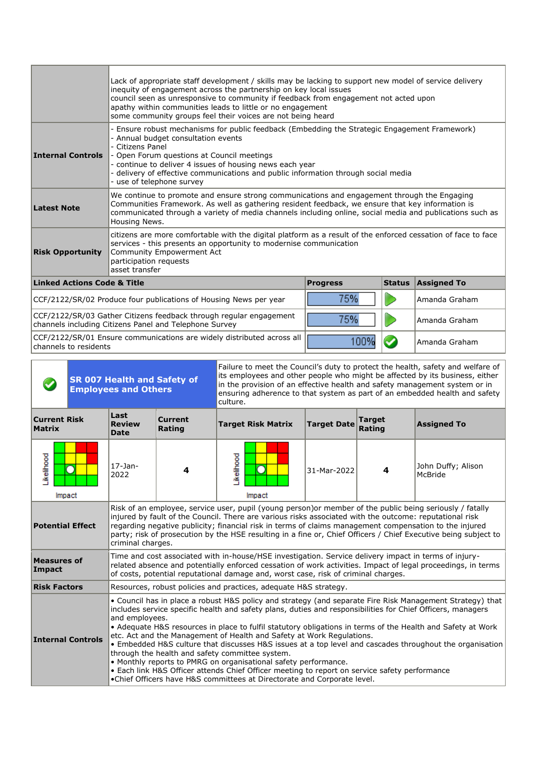|                                                                                                                                                      | Lack of appropriate staff development / skills may be lacking to support new model of service delivery<br>inequity of engagement across the partnership on key local issues<br>council seen as unresponsive to community if feedback from engagement not acted upon<br>apathy within communities leads to little or no engagement<br>some community groups feel their voices are not being heard |                 |               |                    |  |  |  |
|------------------------------------------------------------------------------------------------------------------------------------------------------|--------------------------------------------------------------------------------------------------------------------------------------------------------------------------------------------------------------------------------------------------------------------------------------------------------------------------------------------------------------------------------------------------|-----------------|---------------|--------------------|--|--|--|
| <b>Internal Controls</b>                                                                                                                             | Ensure robust mechanisms for public feedback (Embedding the Strategic Engagement Framework)<br>- Annual budget consultation events<br>- Citizens Panel<br>- Open Forum questions at Council meetings<br>- continue to deliver 4 issues of housing news each year<br>delivery of effective communications and public information through social media<br>use of telephone survey                  |                 |               |                    |  |  |  |
| <b>Latest Note</b>                                                                                                                                   | We continue to promote and ensure strong communications and engagement through the Engaging<br>Communities Framework. As well as gathering resident feedback, we ensure that key information is<br>communicated through a variety of media channels including online, social media and publications such as<br>Housing News.                                                                     |                 |               |                    |  |  |  |
| <b>Risk Opportunity</b>                                                                                                                              | citizens are more comfortable with the digital platform as a result of the enforced cessation of face to face<br>services - this presents an opportunity to modernise communication<br>Community Empowerment Act<br>participation requests<br>asset transfer                                                                                                                                     |                 |               |                    |  |  |  |
| <b>Linked Actions Code &amp; Title</b>                                                                                                               |                                                                                                                                                                                                                                                                                                                                                                                                  | <b>Progress</b> | <b>Status</b> | <b>Assigned To</b> |  |  |  |
|                                                                                                                                                      | CCF/2122/SR/02 Produce four publications of Housing News per year                                                                                                                                                                                                                                                                                                                                | 75%             |               | Amanda Graham      |  |  |  |
| CCF/2122/SR/03 Gather Citizens feedback through regular engagement<br>75%<br>Amanda Graham<br>channels including Citizens Panel and Telephone Survey |                                                                                                                                                                                                                                                                                                                                                                                                  |                 |               |                    |  |  |  |
| channels to residents                                                                                                                                | CCF/2122/SR/01 Ensure communications are widely distributed across all                                                                                                                                                                                                                                                                                                                           | 100%            |               | Amanda Graham      |  |  |  |

| <b>SR 007 Health and Safety of</b><br><b>Employees and Others</b>                                                                                                                                                                                                                                                                                                                                                                                                                                                                                                                                                                                                                                                                                                                                                                                                            |                                                                                                                                                                                                                                                                                                                                                                                                                                                                                                  |                                      |                          | in the provision of an effective health and safety management system or in<br>culture.                                                                                                                                                                                                                      |                    |                         | Failure to meet the Council's duty to protect the health, safety and welfare of<br>its employees and other people who might be affected by its business, either<br>ensuring adherence to that system as part of an embedded health and safety |
|------------------------------------------------------------------------------------------------------------------------------------------------------------------------------------------------------------------------------------------------------------------------------------------------------------------------------------------------------------------------------------------------------------------------------------------------------------------------------------------------------------------------------------------------------------------------------------------------------------------------------------------------------------------------------------------------------------------------------------------------------------------------------------------------------------------------------------------------------------------------------|--------------------------------------------------------------------------------------------------------------------------------------------------------------------------------------------------------------------------------------------------------------------------------------------------------------------------------------------------------------------------------------------------------------------------------------------------------------------------------------------------|--------------------------------------|--------------------------|-------------------------------------------------------------------------------------------------------------------------------------------------------------------------------------------------------------------------------------------------------------------------------------------------------------|--------------------|-------------------------|-----------------------------------------------------------------------------------------------------------------------------------------------------------------------------------------------------------------------------------------------|
| <b>Current Risk</b><br><b>Matrix</b>                                                                                                                                                                                                                                                                                                                                                                                                                                                                                                                                                                                                                                                                                                                                                                                                                                         |                                                                                                                                                                                                                                                                                                                                                                                                                                                                                                  | Last<br><b>Review</b><br><b>Date</b> | <b>Current</b><br>Rating | <b>Target Risk Matrix</b>                                                                                                                                                                                                                                                                                   | <b>Target Date</b> | <b>Target</b><br>Rating | <b>Assigned To</b>                                                                                                                                                                                                                            |
| Likelihood<br>Impact                                                                                                                                                                                                                                                                                                                                                                                                                                                                                                                                                                                                                                                                                                                                                                                                                                                         |                                                                                                                                                                                                                                                                                                                                                                                                                                                                                                  | $17-$ Jan-<br>2022                   | 4                        | Likelihood<br>Impact                                                                                                                                                                                                                                                                                        | 31-Mar-2022        | 4                       | John Duffy; Alison<br>McBride                                                                                                                                                                                                                 |
|                                                                                                                                                                                                                                                                                                                                                                                                                                                                                                                                                                                                                                                                                                                                                                                                                                                                              | Risk of an employee, service user, pupil (young person)or member of the public being seriously / fatally<br>injured by fault of the Council. There are various risks associated with the outcome: reputational risk<br><b>Potential Effect</b><br>regarding negative publicity; financial risk in terms of claims management compensation to the injured<br>party; risk of prosecution by the HSE resulting in a fine or, Chief Officers / Chief Executive being subject to<br>criminal charges. |                                      |                          |                                                                                                                                                                                                                                                                                                             |                    |                         |                                                                                                                                                                                                                                               |
| <b>Measures of</b><br>Impact                                                                                                                                                                                                                                                                                                                                                                                                                                                                                                                                                                                                                                                                                                                                                                                                                                                 |                                                                                                                                                                                                                                                                                                                                                                                                                                                                                                  |                                      |                          | Time and cost associated with in-house/HSE investigation. Service delivery impact in terms of injury-<br>related absence and potentially enforced cessation of work activities. Impact of legal proceedings, in terms<br>of costs, potential reputational damage and, worst case, risk of criminal charges. |                    |                         |                                                                                                                                                                                                                                               |
| <b>Risk Factors</b>                                                                                                                                                                                                                                                                                                                                                                                                                                                                                                                                                                                                                                                                                                                                                                                                                                                          |                                                                                                                                                                                                                                                                                                                                                                                                                                                                                                  |                                      |                          | Resources, robust policies and practices, adequate H&S strategy.                                                                                                                                                                                                                                            |                    |                         |                                                                                                                                                                                                                                               |
| • Council has in place a robust H&S policy and strategy (and separate Fire Risk Management Strategy) that<br>includes service specific health and safety plans, duties and responsibilities for Chief Officers, managers<br>and employees.<br>• Adequate H&S resources in place to fulfil statutory obligations in terms of the Health and Safety at Work<br>etc. Act and the Management of Health and Safety at Work Regulations.<br><b>Internal Controls</b><br>• Embedded H&S culture that discusses H&S issues at a top level and cascades throughout the organisation<br>through the health and safety committee system.<br>• Monthly reports to PMRG on organisational safety performance.<br>• Each link H&S Officer attends Chief Officer meeting to report on service safety performance<br>•Chief Officers have H&S committees at Directorate and Corporate level. |                                                                                                                                                                                                                                                                                                                                                                                                                                                                                                  |                                      |                          |                                                                                                                                                                                                                                                                                                             |                    |                         |                                                                                                                                                                                                                                               |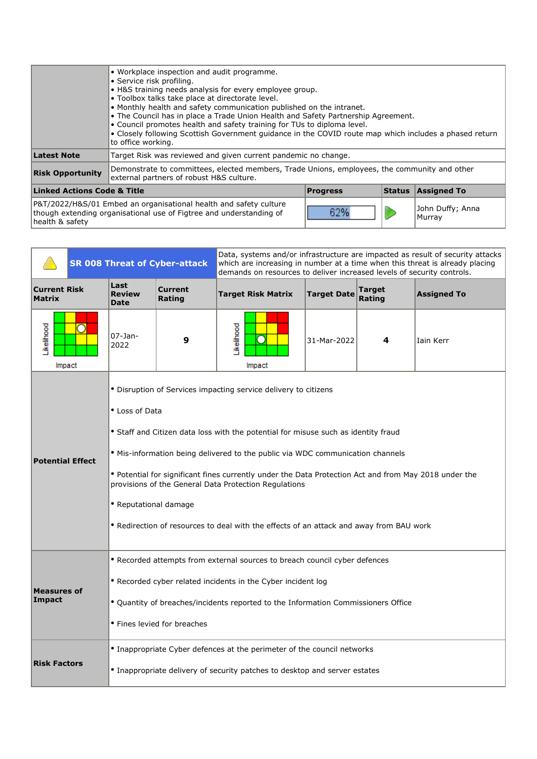|                                                                                                                                                                    | • Workplace inspection and audit programme.<br>• Service risk profiling.<br>• H&S training needs analysis for every employee group.<br>• Toolbox talks take place at directorate level.<br>• Monthly health and safety communication published on the intranet.<br>• The Council has in place a Trade Union Health and Safety Partnership Agreement.<br>. Council promotes health and safety training for TUs to diploma level.<br>• Closely following Scottish Government quidance in the COVID route map which includes a phased return<br>to office working. |  |  |                            |  |  |  |
|--------------------------------------------------------------------------------------------------------------------------------------------------------------------|-----------------------------------------------------------------------------------------------------------------------------------------------------------------------------------------------------------------------------------------------------------------------------------------------------------------------------------------------------------------------------------------------------------------------------------------------------------------------------------------------------------------------------------------------------------------|--|--|----------------------------|--|--|--|
| Latest Note                                                                                                                                                        | Target Risk was reviewed and given current pandemic no change.                                                                                                                                                                                                                                                                                                                                                                                                                                                                                                  |  |  |                            |  |  |  |
| <b>Risk Opportunity</b>                                                                                                                                            | Demonstrate to committees, elected members, Trade Unions, employees, the community and other<br>external partners of robust H&S culture.                                                                                                                                                                                                                                                                                                                                                                                                                        |  |  |                            |  |  |  |
| <b>Linked Actions Code &amp; Title</b><br><b>Assigned To</b><br><b>Status</b><br><b>Progress</b>                                                                   |                                                                                                                                                                                                                                                                                                                                                                                                                                                                                                                                                                 |  |  |                            |  |  |  |
| P&T/2022/H&S/01 Embed an organisational health and safety culture<br>62%<br>though extending organisational use of Figtree and understanding of<br>health & safety |                                                                                                                                                                                                                                                                                                                                                                                                                                                                                                                                                                 |  |  | John Duffy; Anna<br>Murray |  |  |  |

|                                      | <b>SR 008 Threat of Cyber-attack</b> |                                                                                                                                                                                                                                                                                                                                                                                                                                                                                                                                                 |                          | Data, systems and/or infrastructure are impacted as result of security attacks<br>which are increasing in number at a time when this threat is already placing<br>demands on resources to deliver increased levels of security controls. |                    |                  |                    |  |  |
|--------------------------------------|--------------------------------------|-------------------------------------------------------------------------------------------------------------------------------------------------------------------------------------------------------------------------------------------------------------------------------------------------------------------------------------------------------------------------------------------------------------------------------------------------------------------------------------------------------------------------------------------------|--------------------------|------------------------------------------------------------------------------------------------------------------------------------------------------------------------------------------------------------------------------------------|--------------------|------------------|--------------------|--|--|
| <b>Current Risk</b><br><b>Matrix</b> |                                      | Last<br><b>Review</b><br><b>Date</b>                                                                                                                                                                                                                                                                                                                                                                                                                                                                                                            | <b>Current</b><br>Rating | <b>Target Risk Matrix</b>                                                                                                                                                                                                                | <b>Target Date</b> | Target<br>Rating | <b>Assigned To</b> |  |  |
| Likelihood<br>Impact                 |                                      | 07-Jan-<br>2022                                                                                                                                                                                                                                                                                                                                                                                                                                                                                                                                 | 9                        | Likelihood<br>Impact                                                                                                                                                                                                                     | 31-Mar-2022        | 4                | Iain Kerr          |  |  |
| <b>Potential Effect</b>              |                                      | • Disruption of Services impacting service delivery to citizens<br>• Loss of Data<br>• Staff and Citizen data loss with the potential for misuse such as identity fraud<br>. Mis-information being delivered to the public via WDC communication channels<br>. Potential for significant fines currently under the Data Protection Act and from May 2018 under the<br>provisions of the General Data Protection Regulations<br>· Reputational damage<br>. Redirection of resources to deal with the effects of an attack and away from BAU work |                          |                                                                                                                                                                                                                                          |                    |                  |                    |  |  |
| <b>Measures of</b><br>Impact         |                                      | • Recorded attempts from external sources to breach council cyber defences<br>• Recorded cyber related incidents in the Cyber incident log<br>• Quantity of breaches/incidents reported to the Information Commissioners Office<br>• Fines levied for breaches                                                                                                                                                                                                                                                                                  |                          |                                                                                                                                                                                                                                          |                    |                  |                    |  |  |
| <b>Risk Factors</b>                  |                                      | • Inappropriate Cyber defences at the perimeter of the council networks<br>• Inappropriate delivery of security patches to desktop and server estates                                                                                                                                                                                                                                                                                                                                                                                           |                          |                                                                                                                                                                                                                                          |                    |                  |                    |  |  |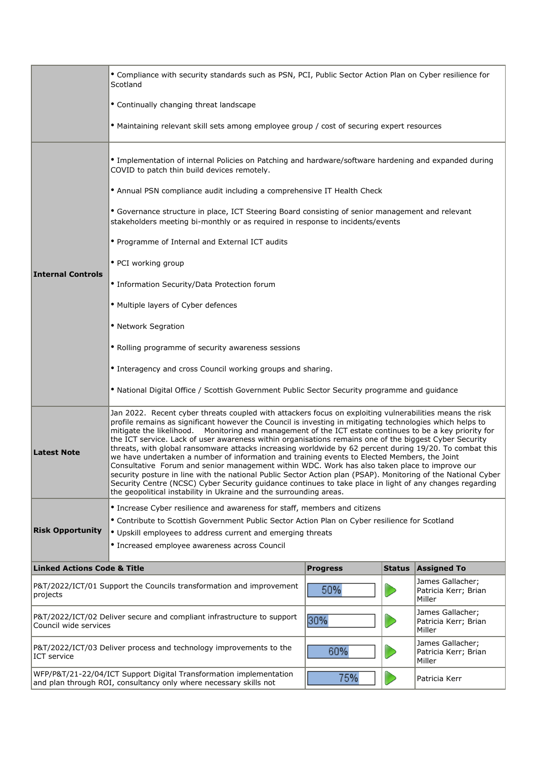|                                                                                                                                                                 | • Compliance with security standards such as PSN, PCI, Public Sector Action Plan on Cyber resilience for<br>Scotland                                                                                                                                                                                                                                                                                                                                                                                                                                                                                                                                                                                                                                                                                                                                                                                                                                                                                                                                       |  |                                                    |  |  |  |  |  |  |
|-----------------------------------------------------------------------------------------------------------------------------------------------------------------|------------------------------------------------------------------------------------------------------------------------------------------------------------------------------------------------------------------------------------------------------------------------------------------------------------------------------------------------------------------------------------------------------------------------------------------------------------------------------------------------------------------------------------------------------------------------------------------------------------------------------------------------------------------------------------------------------------------------------------------------------------------------------------------------------------------------------------------------------------------------------------------------------------------------------------------------------------------------------------------------------------------------------------------------------------|--|----------------------------------------------------|--|--|--|--|--|--|
|                                                                                                                                                                 | • Continually changing threat landscape                                                                                                                                                                                                                                                                                                                                                                                                                                                                                                                                                                                                                                                                                                                                                                                                                                                                                                                                                                                                                    |  |                                                    |  |  |  |  |  |  |
|                                                                                                                                                                 | • Maintaining relevant skill sets among employee group / cost of securing expert resources                                                                                                                                                                                                                                                                                                                                                                                                                                                                                                                                                                                                                                                                                                                                                                                                                                                                                                                                                                 |  |                                                    |  |  |  |  |  |  |
|                                                                                                                                                                 | . Implementation of internal Policies on Patching and hardware/software hardening and expanded during<br>COVID to patch thin build devices remotely.                                                                                                                                                                                                                                                                                                                                                                                                                                                                                                                                                                                                                                                                                                                                                                                                                                                                                                       |  |                                                    |  |  |  |  |  |  |
|                                                                                                                                                                 | • Annual PSN compliance audit including a comprehensive IT Health Check                                                                                                                                                                                                                                                                                                                                                                                                                                                                                                                                                                                                                                                                                                                                                                                                                                                                                                                                                                                    |  |                                                    |  |  |  |  |  |  |
|                                                                                                                                                                 | • Governance structure in place, ICT Steering Board consisting of senior management and relevant<br>stakeholders meeting bi-monthly or as required in response to incidents/events                                                                                                                                                                                                                                                                                                                                                                                                                                                                                                                                                                                                                                                                                                                                                                                                                                                                         |  |                                                    |  |  |  |  |  |  |
|                                                                                                                                                                 | • Programme of Internal and External ICT audits                                                                                                                                                                                                                                                                                                                                                                                                                                                                                                                                                                                                                                                                                                                                                                                                                                                                                                                                                                                                            |  |                                                    |  |  |  |  |  |  |
|                                                                                                                                                                 | • PCI working group                                                                                                                                                                                                                                                                                                                                                                                                                                                                                                                                                                                                                                                                                                                                                                                                                                                                                                                                                                                                                                        |  |                                                    |  |  |  |  |  |  |
| <b>Internal Controls</b>                                                                                                                                        | • Information Security/Data Protection forum                                                                                                                                                                                                                                                                                                                                                                                                                                                                                                                                                                                                                                                                                                                                                                                                                                                                                                                                                                                                               |  |                                                    |  |  |  |  |  |  |
|                                                                                                                                                                 | • Multiple layers of Cyber defences                                                                                                                                                                                                                                                                                                                                                                                                                                                                                                                                                                                                                                                                                                                                                                                                                                                                                                                                                                                                                        |  |                                                    |  |  |  |  |  |  |
|                                                                                                                                                                 | • Network Segration                                                                                                                                                                                                                                                                                                                                                                                                                                                                                                                                                                                                                                                                                                                                                                                                                                                                                                                                                                                                                                        |  |                                                    |  |  |  |  |  |  |
|                                                                                                                                                                 | • Rolling programme of security awareness sessions                                                                                                                                                                                                                                                                                                                                                                                                                                                                                                                                                                                                                                                                                                                                                                                                                                                                                                                                                                                                         |  |                                                    |  |  |  |  |  |  |
|                                                                                                                                                                 | • Interagency and cross Council working groups and sharing.                                                                                                                                                                                                                                                                                                                                                                                                                                                                                                                                                                                                                                                                                                                                                                                                                                                                                                                                                                                                |  |                                                    |  |  |  |  |  |  |
|                                                                                                                                                                 | • National Digital Office / Scottish Government Public Sector Security programme and guidance                                                                                                                                                                                                                                                                                                                                                                                                                                                                                                                                                                                                                                                                                                                                                                                                                                                                                                                                                              |  |                                                    |  |  |  |  |  |  |
| <b>Latest Note</b>                                                                                                                                              | Jan 2022. Recent cyber threats coupled with attackers focus on exploiting vulnerabilities means the risk<br>profile remains as significant however the Council is investing in mitigating technologies which helps to<br>mitigate the likelihood.  Monitoring and management of the ICT estate continues to be a key priority for<br>the ICT service. Lack of user awareness within organisations remains one of the biggest Cyber Security<br>threats, with global ransomware attacks increasing worldwide by 62 percent during 19/20. To combat this<br>we have undertaken a number of information and training events to Elected Members, the Joint<br>Consultative Forum and senior management within WDC. Work has also taken place to improve our<br>security posture in line with the national Public Sector Action plan (PSAP). Monitoring of the National Cyber<br>Security Centre (NCSC) Cyber Security guidance continues to take place in light of any changes regarding<br>the geopolitical instability in Ukraine and the surrounding areas. |  |                                                    |  |  |  |  |  |  |
|                                                                                                                                                                 | • Increase Cyber resilience and awareness for staff, members and citizens                                                                                                                                                                                                                                                                                                                                                                                                                                                                                                                                                                                                                                                                                                                                                                                                                                                                                                                                                                                  |  |                                                    |  |  |  |  |  |  |
| <b>Risk Opportunity</b>                                                                                                                                         | • Contribute to Scottish Government Public Sector Action Plan on Cyber resilience for Scotland<br>• Upskill employees to address current and emerging threats                                                                                                                                                                                                                                                                                                                                                                                                                                                                                                                                                                                                                                                                                                                                                                                                                                                                                              |  |                                                    |  |  |  |  |  |  |
|                                                                                                                                                                 | • Increased employee awareness across Council                                                                                                                                                                                                                                                                                                                                                                                                                                                                                                                                                                                                                                                                                                                                                                                                                                                                                                                                                                                                              |  |                                                    |  |  |  |  |  |  |
| <b>Linked Actions Code &amp; Title</b><br><b>Progress</b><br><b>Status</b><br><b>Assigned To</b>                                                                |                                                                                                                                                                                                                                                                                                                                                                                                                                                                                                                                                                                                                                                                                                                                                                                                                                                                                                                                                                                                                                                            |  |                                                    |  |  |  |  |  |  |
| P&T/2022/ICT/01 Support the Councils transformation and improvement<br>projects                                                                                 | 50%                                                                                                                                                                                                                                                                                                                                                                                                                                                                                                                                                                                                                                                                                                                                                                                                                                                                                                                                                                                                                                                        |  | James Gallacher;<br>Patricia Kerr; Brian<br>Miller |  |  |  |  |  |  |
| James Gallacher;<br>P&T/2022/ICT/02 Deliver secure and compliant infrastructure to support<br>30%<br>Patricia Kerr; Brian<br>Council wide services<br>Miller    |                                                                                                                                                                                                                                                                                                                                                                                                                                                                                                                                                                                                                                                                                                                                                                                                                                                                                                                                                                                                                                                            |  |                                                    |  |  |  |  |  |  |
| James Gallacher;<br>P&T/2022/ICT/03 Deliver process and technology improvements to the<br>60%<br>Patricia Kerr; Brian<br><b>ICT</b> service<br>Miller           |                                                                                                                                                                                                                                                                                                                                                                                                                                                                                                                                                                                                                                                                                                                                                                                                                                                                                                                                                                                                                                                            |  |                                                    |  |  |  |  |  |  |
| WFP/P&T/21-22/04/ICT Support Digital Transformation implementation<br>75%<br>Patricia Kerr<br>and plan through ROI, consultancy only where necessary skills not |                                                                                                                                                                                                                                                                                                                                                                                                                                                                                                                                                                                                                                                                                                                                                                                                                                                                                                                                                                                                                                                            |  |                                                    |  |  |  |  |  |  |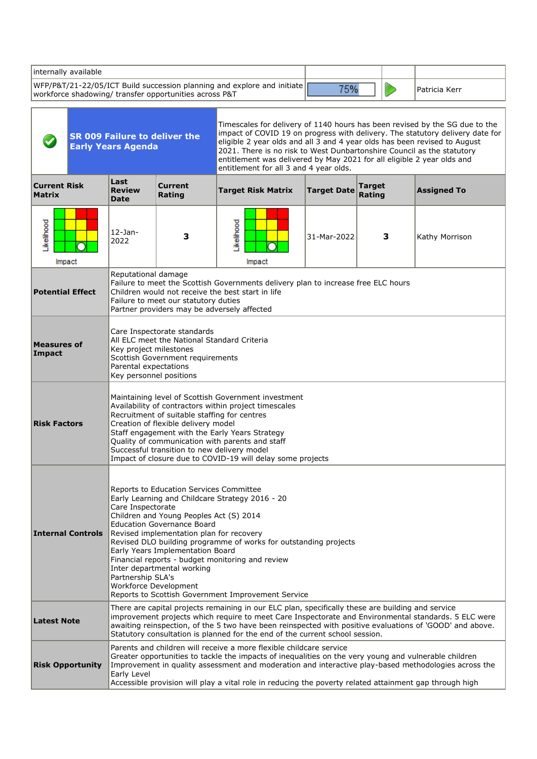| internally available                                              |                                                                                                                                                                                                                                                                                                                                                                                                                                                                                                                                           |                                                                                                                                    |                                                                                                                                                                                                                                                                                                                       |                    |                         |   |                                                                                                                                                              |
|-------------------------------------------------------------------|-------------------------------------------------------------------------------------------------------------------------------------------------------------------------------------------------------------------------------------------------------------------------------------------------------------------------------------------------------------------------------------------------------------------------------------------------------------------------------------------------------------------------------------------|------------------------------------------------------------------------------------------------------------------------------------|-----------------------------------------------------------------------------------------------------------------------------------------------------------------------------------------------------------------------------------------------------------------------------------------------------------------------|--------------------|-------------------------|---|--------------------------------------------------------------------------------------------------------------------------------------------------------------|
| workforce shadowing/ transfer opportunities across P&T            |                                                                                                                                                                                                                                                                                                                                                                                                                                                                                                                                           |                                                                                                                                    | WFP/P&T/21-22/05/ICT Build succession planning and explore and initiate                                                                                                                                                                                                                                               | 75%                |                         |   | Patricia Kerr                                                                                                                                                |
| <b>SR 009 Failure to deliver the</b><br><b>Early Years Agenda</b> |                                                                                                                                                                                                                                                                                                                                                                                                                                                                                                                                           |                                                                                                                                    | eligible 2 year olds and all 3 and 4 year olds has been revised to August<br>2021. There is no risk to West Dunbartonshire Council as the statutory<br>entitlement was delivered by May 2021 for all eligible 2 year olds and<br>entitlement for all 3 and 4 year olds.                                               |                    |                         |   | Timescales for delivery of 1140 hours has been revised by the SG due to the<br>impact of COVID 19 on progress with delivery. The statutory delivery date for |
| <b>Current Risk</b><br><b>Matrix</b>                              | Last<br><b>Review</b><br><b>Date</b>                                                                                                                                                                                                                                                                                                                                                                                                                                                                                                      | <b>Current</b><br>Rating                                                                                                           | <b>Target Risk Matrix</b>                                                                                                                                                                                                                                                                                             | <b>Target Date</b> | <b>Target</b><br>Rating |   | <b>Assigned To</b>                                                                                                                                           |
| Likelihood<br>Impact                                              | $12$ -Jan-<br>2022                                                                                                                                                                                                                                                                                                                                                                                                                                                                                                                        | 3                                                                                                                                  | Likelihood<br>Impact                                                                                                                                                                                                                                                                                                  | 31-Mar-2022        |                         | 3 | Kathy Morrison                                                                                                                                               |
| <b>Potential Effect</b>                                           | Reputational damage                                                                                                                                                                                                                                                                                                                                                                                                                                                                                                                       | Failure to meet our statutory duties<br>Partner providers may be adversely affected                                                | Failure to meet the Scottish Governments delivery plan to increase free ELC hours<br>Children would not receive the best start in life                                                                                                                                                                                |                    |                         |   |                                                                                                                                                              |
| <b>Measures of</b><br>Impact                                      | Care Inspectorate standards<br>All ELC meet the National Standard Criteria<br>Key project milestones<br>Scottish Government requirements<br>Parental expectations<br>Key personnel positions                                                                                                                                                                                                                                                                                                                                              |                                                                                                                                    |                                                                                                                                                                                                                                                                                                                       |                    |                         |   |                                                                                                                                                              |
| <b>Risk Factors</b>                                               |                                                                                                                                                                                                                                                                                                                                                                                                                                                                                                                                           | Recruitment of suitable staffing for centres<br>Creation of flexible delivery model<br>Successful transition to new delivery model | Maintaining level of Scottish Government investment<br>Availability of contractors within project timescales<br>Staff engagement with the Early Years Strategy<br>Quality of communication with parents and staff<br>Impact of closure due to COVID-19 will delay some projects                                       |                    |                         |   |                                                                                                                                                              |
| <b>Internal Controls</b>                                          | Reports to Education Services Committee<br>Early Learning and Childcare Strategy 2016 - 20<br>Care Inspectorate<br>Children and Young Peoples Act (S) 2014<br><b>Education Governance Board</b><br>Revised implementation plan for recovery<br>Revised DLO building programme of works for outstanding projects<br>Early Years Implementation Board<br>Financial reports - budget monitoring and review<br>Inter departmental working<br>Partnership SLA's<br>Workforce Development<br>Reports to Scottish Government Improvement Service |                                                                                                                                    |                                                                                                                                                                                                                                                                                                                       |                    |                         |   |                                                                                                                                                              |
| <b>Latest Note</b>                                                |                                                                                                                                                                                                                                                                                                                                                                                                                                                                                                                                           |                                                                                                                                    | There are capital projects remaining in our ELC plan, specifically these are building and service<br>improvement projects which require to meet Care Inspectorate and Environmental standards. 5 ELC were<br>awaiting reinspection, of the 5 two have been reinspected with positive evaluations of 'GOOD' and above. |                    |                         |   |                                                                                                                                                              |
| <b>Risk Opportunity</b>                                           | Statutory consultation is planned for the end of the current school session.<br>Parents and children will receive a more flexible childcare service<br>Greater opportunities to tackle the impacts of inequalities on the very young and vulnerable children<br>Improvement in quality assessment and moderation and interactive play-based methodologies across the<br>Early Level<br>Accessible provision will play a vital role in reducing the poverty related attainment gap through high                                            |                                                                                                                                    |                                                                                                                                                                                                                                                                                                                       |                    |                         |   |                                                                                                                                                              |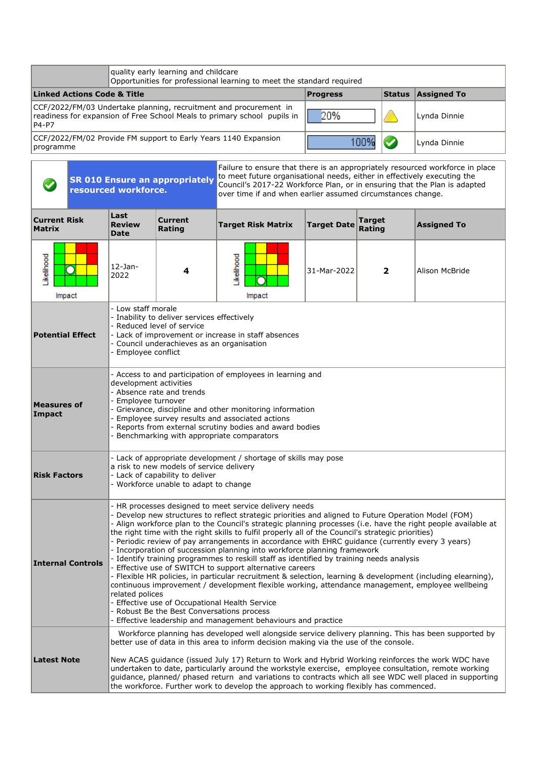|                                                                                                                                                        | quality early learning and childcare<br>Opportunities for professional learning to meet the standard required |                 |              |                    |  |  |  |  |  |
|--------------------------------------------------------------------------------------------------------------------------------------------------------|---------------------------------------------------------------------------------------------------------------|-----------------|--------------|--------------------|--|--|--|--|--|
| <b>Linked Actions Code &amp; Title</b>                                                                                                                 |                                                                                                               | <b>Progress</b> | Status       | <b>Assigned To</b> |  |  |  |  |  |
| CCF/2022/FM/03 Undertake planning, recruitment and procurement in<br>readiness for expansion of Free School Meals to primary school pupils in<br>P4-P7 | 20%                                                                                                           |                 | Lynda Dinnie |                    |  |  |  |  |  |
| CCF/2022/FM/02 Provide FM support to Early Years 1140 Expansion<br> programme                                                                          |                                                                                                               |                 | Lynda Dinnie |                    |  |  |  |  |  |

|                                      |                                                                                                                                                                                                                                                                                                                                                                                     | Failure to ensure that there is an appropriately resourced workforce in place<br>to meet future organisational needs, either in effectively executing the<br><b>SR 010 Ensure an appropriately</b><br>Council's 2017-22 Workforce Plan, or in ensuring that the Plan is adapted<br>resourced workforce.<br>over time if and when earlier assumed circumstances change.                                                                                                                                                                                                                                                                                                                                                                                                                                                                                                                                                                                                                                                                                           |                                                                                                                      |                                                                 |                    |                  |                    |  |  |
|--------------------------------------|-------------------------------------------------------------------------------------------------------------------------------------------------------------------------------------------------------------------------------------------------------------------------------------------------------------------------------------------------------------------------------------|------------------------------------------------------------------------------------------------------------------------------------------------------------------------------------------------------------------------------------------------------------------------------------------------------------------------------------------------------------------------------------------------------------------------------------------------------------------------------------------------------------------------------------------------------------------------------------------------------------------------------------------------------------------------------------------------------------------------------------------------------------------------------------------------------------------------------------------------------------------------------------------------------------------------------------------------------------------------------------------------------------------------------------------------------------------|----------------------------------------------------------------------------------------------------------------------|-----------------------------------------------------------------|--------------------|------------------|--------------------|--|--|
| <b>Current Risk</b><br><b>Matrix</b> |                                                                                                                                                                                                                                                                                                                                                                                     | Last<br><b>Review</b><br>Date                                                                                                                                                                                                                                                                                                                                                                                                                                                                                                                                                                                                                                                                                                                                                                                                                                                                                                                                                                                                                                    | <b>Current</b><br>Rating                                                                                             | <b>Target Risk Matrix</b>                                       | <b>Target Date</b> | Target<br>Rating | <b>Assigned To</b> |  |  |
| Likelihood                           | Ω<br>Impact                                                                                                                                                                                                                                                                                                                                                                         | $12$ -Jan-<br>2022                                                                                                                                                                                                                                                                                                                                                                                                                                                                                                                                                                                                                                                                                                                                                                                                                                                                                                                                                                                                                                               | 4                                                                                                                    | Likelihood<br>Impact                                            | 31-Mar-2022        | $\overline{2}$   | Alison McBride     |  |  |
|                                      | - Low staff morale<br>- Inability to deliver services effectively<br>Reduced level of service<br><b>Potential Effect</b><br>- Lack of improvement or increase in staff absences<br>Council underachieves as an organisation<br>Employee conflict                                                                                                                                    |                                                                                                                                                                                                                                                                                                                                                                                                                                                                                                                                                                                                                                                                                                                                                                                                                                                                                                                                                                                                                                                                  |                                                                                                                      |                                                                 |                    |                  |                    |  |  |
| Impact                               | - Access to and participation of employees in learning and<br>development activities<br>- Absence rate and trends<br>Employee turnover<br><b>Measures of</b><br>- Grievance, discipline and other monitoring information<br>Employee survey results and associated actions<br>- Reports from external scrutiny bodies and award bodies<br>Benchmarking with appropriate comparators |                                                                                                                                                                                                                                                                                                                                                                                                                                                                                                                                                                                                                                                                                                                                                                                                                                                                                                                                                                                                                                                                  |                                                                                                                      |                                                                 |                    |                  |                    |  |  |
| <b>Risk Factors</b>                  |                                                                                                                                                                                                                                                                                                                                                                                     |                                                                                                                                                                                                                                                                                                                                                                                                                                                                                                                                                                                                                                                                                                                                                                                                                                                                                                                                                                                                                                                                  | a risk to new models of service delivery<br>- Lack of capability to deliver<br>- Workforce unable to adapt to change | - Lack of appropriate development / shortage of skills may pose |                    |                  |                    |  |  |
|                                      | <b>Internal Controls</b>                                                                                                                                                                                                                                                                                                                                                            | - HR processes designed to meet service delivery needs<br>- Develop new structures to reflect strategic priorities and aligned to Future Operation Model (FOM)<br>- Align workforce plan to the Council's strategic planning processes (i.e. have the right people available at<br>the right time with the right skills to fulfil properly all of the Council's strategic priorities)<br>- Periodic review of pay arrangements in accordance with EHRC guidance (currently every 3 years)<br>- Incorporation of succession planning into workforce planning framework<br>- Identify training programmes to reskill staff as identified by training needs analysis<br>Effective use of SWITCH to support alternative careers<br>- Flexible HR policies, in particular recruitment & selection, learning & development (including elearning),<br>continuous improvement / development flexible working, attendance management, employee wellbeing<br>related polices<br>- Effective use of Occupational Health Service<br>Robust Be the Best Conversations process |                                                                                                                      |                                                                 |                    |                  |                    |  |  |
| <b>Latest Note</b>                   |                                                                                                                                                                                                                                                                                                                                                                                     | Effective leadership and management behaviours and practice<br>Workforce planning has developed well alongside service delivery planning. This has been supported by<br>better use of data in this area to inform decision making via the use of the console.<br>New ACAS guidance (issued July 17) Return to Work and Hybrid Working reinforces the work WDC have<br>undertaken to date, particularly around the workstyle exercise, employee consultation, remote working<br>guidance, planned/ phased return and variations to contracts which all see WDC well placed in supporting<br>the workforce. Further work to develop the approach to working flexibly has commenced.                                                                                                                                                                                                                                                                                                                                                                                |                                                                                                                      |                                                                 |                    |                  |                    |  |  |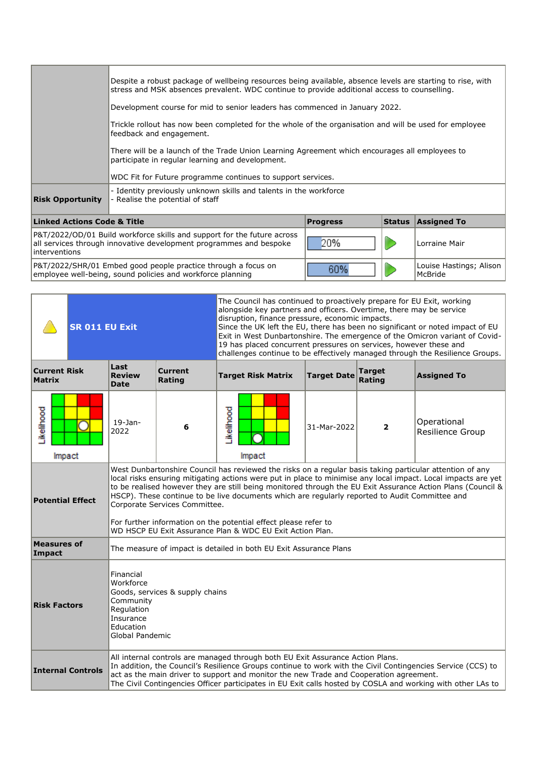|                                                                                                                                                                | Despite a robust package of wellbeing resources being available, absence levels are starting to rise, with<br>stress and MSK absences prevalent. WDC continue to provide additional access to counselling.<br>Development course for mid to senior leaders has commenced in January 2022.<br>Trickle rollout has now been completed for the whole of the organisation and will be used for employee<br>feedback and engagement.<br>There will be a launch of the Trade Union Learning Agreement which encourages all employees to<br>participate in regular learning and development.<br>WDC Fit for Future programme continues to support services.<br>- Identity previously unknown skills and talents in the workforce |                 |                                    |                    |  |  |
|----------------------------------------------------------------------------------------------------------------------------------------------------------------|---------------------------------------------------------------------------------------------------------------------------------------------------------------------------------------------------------------------------------------------------------------------------------------------------------------------------------------------------------------------------------------------------------------------------------------------------------------------------------------------------------------------------------------------------------------------------------------------------------------------------------------------------------------------------------------------------------------------------|-----------------|------------------------------------|--------------------|--|--|
| <b>Risk Opportunity</b>                                                                                                                                        | - Realise the potential of staff                                                                                                                                                                                                                                                                                                                                                                                                                                                                                                                                                                                                                                                                                          |                 |                                    |                    |  |  |
| <b>Linked Actions Code &amp; Title</b>                                                                                                                         |                                                                                                                                                                                                                                                                                                                                                                                                                                                                                                                                                                                                                                                                                                                           | <b>Progress</b> | <b>Status</b>                      | <b>Assigned To</b> |  |  |
| P&T/2022/OD/01 Build workforce skills and support for the future across<br>all services through innovative development programmes and bespoke<br>interventions | 20%                                                                                                                                                                                                                                                                                                                                                                                                                                                                                                                                                                                                                                                                                                                       |                 | Lorraine Mair                      |                    |  |  |
| P&T/2022/SHR/01 Embed good people practice through a focus on<br>employee well-being, sound policies and workforce planning                                    | 60%                                                                                                                                                                                                                                                                                                                                                                                                                                                                                                                                                                                                                                                                                                                       |                 | Louise Hastings; Alison<br>McBride |                    |  |  |

|                                      | <b>SR 011 EU Exit</b>                                                                                                                                                                                                                                                                                                                                                                                                                                                                                                                                                                                                                  |                                                                                                                                   |                                                                                                                                                                                                                                                                                                                                                                                                        | The Council has continued to proactively prepare for EU Exit, working<br>alongside key partners and officers. Overtime, there may be service<br>disruption, finance pressure, economic impacts.<br>Since the UK left the EU, there has been no significant or noted impact of EU<br>Exit in West Dunbartonshire. The emergence of the Omicron variant of Covid-<br>19 has placed concurrent pressures on services, however these and<br>challenges continue to be effectively managed through the Resilience Groups. |                    |                         |                                 |
|--------------------------------------|----------------------------------------------------------------------------------------------------------------------------------------------------------------------------------------------------------------------------------------------------------------------------------------------------------------------------------------------------------------------------------------------------------------------------------------------------------------------------------------------------------------------------------------------------------------------------------------------------------------------------------------|-----------------------------------------------------------------------------------------------------------------------------------|--------------------------------------------------------------------------------------------------------------------------------------------------------------------------------------------------------------------------------------------------------------------------------------------------------------------------------------------------------------------------------------------------------|----------------------------------------------------------------------------------------------------------------------------------------------------------------------------------------------------------------------------------------------------------------------------------------------------------------------------------------------------------------------------------------------------------------------------------------------------------------------------------------------------------------------|--------------------|-------------------------|---------------------------------|
| <b>Current Risk</b><br><b>Matrix</b> |                                                                                                                                                                                                                                                                                                                                                                                                                                                                                                                                                                                                                                        | Last<br><b>Review</b><br><b>Date</b>                                                                                              | <b>Current</b><br>Rating                                                                                                                                                                                                                                                                                                                                                                               | <b>Target Risk Matrix</b>                                                                                                                                                                                                                                                                                                                                                                                                                                                                                            | <b>Target Date</b> | <b>Target</b><br>Rating | <b>Assigned To</b>              |
| <b>ikelihood</b><br>Impact           |                                                                                                                                                                                                                                                                                                                                                                                                                                                                                                                                                                                                                                        | $19-$ Jan-<br>2022                                                                                                                | 6                                                                                                                                                                                                                                                                                                                                                                                                      | <b>kellhood</b><br>Impact                                                                                                                                                                                                                                                                                                                                                                                                                                                                                            | 31-Mar-2022        | 2                       | Operational<br>Resilience Group |
|                                      | West Dunbartonshire Council has reviewed the risks on a regular basis taking particular attention of any<br>local risks ensuring mitigating actions were put in place to minimise any local impact. Local impacts are yet<br>to be realised however they are still being monitored through the EU Exit Assurance Action Plans (Council &<br>HSCP). These continue to be live documents which are regularly reported to Audit Committee and<br><b>Potential Effect</b><br>Corporate Services Committee.<br>For further information on the potential effect please refer to<br>WD HSCP EU Exit Assurance Plan & WDC EU Exit Action Plan. |                                                                                                                                   |                                                                                                                                                                                                                                                                                                                                                                                                        |                                                                                                                                                                                                                                                                                                                                                                                                                                                                                                                      |                    |                         |                                 |
| <b>Measures of</b><br>Impact         |                                                                                                                                                                                                                                                                                                                                                                                                                                                                                                                                                                                                                                        |                                                                                                                                   |                                                                                                                                                                                                                                                                                                                                                                                                        | The measure of impact is detailed in both EU Exit Assurance Plans                                                                                                                                                                                                                                                                                                                                                                                                                                                    |                    |                         |                                 |
| <b>Risk Factors</b>                  |                                                                                                                                                                                                                                                                                                                                                                                                                                                                                                                                                                                                                                        | Financial<br>Workforce<br>Goods, services & supply chains<br>Community<br>Regulation<br>Insurance<br>Education<br>Global Pandemic |                                                                                                                                                                                                                                                                                                                                                                                                        |                                                                                                                                                                                                                                                                                                                                                                                                                                                                                                                      |                    |                         |                                 |
|                                      | <b>Internal Controls</b>                                                                                                                                                                                                                                                                                                                                                                                                                                                                                                                                                                                                               |                                                                                                                                   | All internal controls are managed through both EU Exit Assurance Action Plans.<br>In addition, the Council's Resilience Groups continue to work with the Civil Contingencies Service (CCS) to<br>act as the main driver to support and monitor the new Trade and Cooperation agreement.<br>The Civil Contingencies Officer participates in EU Exit calls hosted by COSLA and working with other LAs to |                                                                                                                                                                                                                                                                                                                                                                                                                                                                                                                      |                    |                         |                                 |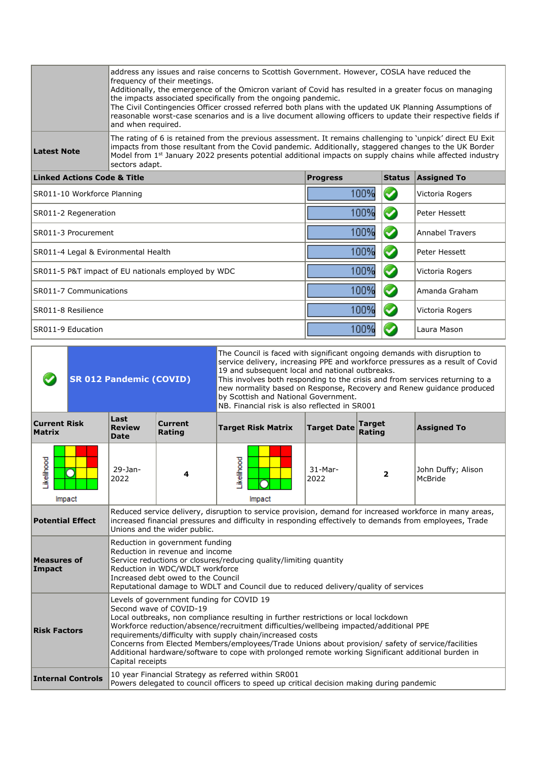|                                                                               | address any issues and raise concerns to Scottish Government. However, COSLA have reduced the<br>frequency of their meetings.<br>Additionally, the emergence of the Omicron variant of Covid has resulted in a greater focus on managing<br>the impacts associated specifically from the ongoing pandemic.<br>The Civil Contingencies Officer crossed referred both plans with the updated UK Planning Assumptions of<br>reasonable worst-case scenarios and is a live document allowing officers to update their respective fields if<br>and when required. |                 |                 |                        |  |  |  |  |
|-------------------------------------------------------------------------------|--------------------------------------------------------------------------------------------------------------------------------------------------------------------------------------------------------------------------------------------------------------------------------------------------------------------------------------------------------------------------------------------------------------------------------------------------------------------------------------------------------------------------------------------------------------|-----------------|-----------------|------------------------|--|--|--|--|
| <b>Latest Note</b>                                                            | The rating of 6 is retained from the previous assessment. It remains challenging to 'unpick' direct EU Exit<br>impacts from those resultant from the Covid pandemic. Additionally, staggered changes to the UK Border<br>Model from 1 <sup>st</sup> January 2022 presents potential additional impacts on supply chains while affected industry<br>sectors adapt.                                                                                                                                                                                            |                 |                 |                        |  |  |  |  |
| <b>Linked Actions Code &amp; Title</b>                                        |                                                                                                                                                                                                                                                                                                                                                                                                                                                                                                                                                              | <b>Progress</b> | <b>Status</b>   | <b>Assigned To</b>     |  |  |  |  |
| SR011-10 Workforce Planning                                                   |                                                                                                                                                                                                                                                                                                                                                                                                                                                                                                                                                              | 100%            |                 | Victoria Rogers        |  |  |  |  |
| SR011-2 Regeneration                                                          |                                                                                                                                                                                                                                                                                                                                                                                                                                                                                                                                                              | 100%            |                 | Peter Hessett          |  |  |  |  |
| SR011-3 Procurement                                                           |                                                                                                                                                                                                                                                                                                                                                                                                                                                                                                                                                              | 100%            |                 | <b>Annabel Travers</b> |  |  |  |  |
| SR011-4 Legal & Evironmental Health                                           |                                                                                                                                                                                                                                                                                                                                                                                                                                                                                                                                                              | 100%            |                 | Peter Hessett          |  |  |  |  |
|                                                                               | SR011-5 P&T impact of EU nationals employed by WDC                                                                                                                                                                                                                                                                                                                                                                                                                                                                                                           | 100%            |                 | Victoria Rogers        |  |  |  |  |
| SR011-7 Communications                                                        |                                                                                                                                                                                                                                                                                                                                                                                                                                                                                                                                                              | 100%            |                 | Amanda Graham          |  |  |  |  |
| SR011-8 Resilience                                                            | 100%                                                                                                                                                                                                                                                                                                                                                                                                                                                                                                                                                         |                 | Victoria Rogers |                        |  |  |  |  |
| 100%<br>SR011-9 Education<br>Laura Mason                                      |                                                                                                                                                                                                                                                                                                                                                                                                                                                                                                                                                              |                 |                 |                        |  |  |  |  |
| 국민들은 승규는 그 사람들은 정신을 하고 있다. 이 사람들은 사람들은 그 사람들을 지금 말고 있다. 이 사람들은 사람들을 지금 말고 있다. |                                                                                                                                                                                                                                                                                                                                                                                                                                                                                                                                                              |                 |                 |                        |  |  |  |  |

| <b>SR 012 Pandemic (COVID)</b>                                                                                                                                                                                                                                                                                                                                                                                                                                                                                                                                             |                                                                                                                                                                                                                                                                                                                               |                                                                                                                                                  |                              | The Council is faced with significant ongoing demands with disruption to<br>service delivery, increasing PPE and workforce pressures as a result of Covid<br>19 and subsequent local and national outbreaks.<br>This involves both responding to the crisis and from services returning to a<br>new normality based on Response, Recovery and Renew guidance produced<br>by Scottish and National Government.<br>NB. Financial risk is also reflected in SR001 |                    |                         |                               |
|----------------------------------------------------------------------------------------------------------------------------------------------------------------------------------------------------------------------------------------------------------------------------------------------------------------------------------------------------------------------------------------------------------------------------------------------------------------------------------------------------------------------------------------------------------------------------|-------------------------------------------------------------------------------------------------------------------------------------------------------------------------------------------------------------------------------------------------------------------------------------------------------------------------------|--------------------------------------------------------------------------------------------------------------------------------------------------|------------------------------|----------------------------------------------------------------------------------------------------------------------------------------------------------------------------------------------------------------------------------------------------------------------------------------------------------------------------------------------------------------------------------------------------------------------------------------------------------------|--------------------|-------------------------|-------------------------------|
| <b>Current Risk</b><br><b>Matrix</b>                                                                                                                                                                                                                                                                                                                                                                                                                                                                                                                                       |                                                                                                                                                                                                                                                                                                                               | Last<br><b>Review</b><br><b>Date</b>                                                                                                             | <b>Current</b><br>Rating     | <b>Target Risk Matrix</b>                                                                                                                                                                                                                                                                                                                                                                                                                                      | <b>Target Date</b> | <b>Target</b><br>Rating | <b>Assigned To</b>            |
| Likelihood<br>Impact                                                                                                                                                                                                                                                                                                                                                                                                                                                                                                                                                       |                                                                                                                                                                                                                                                                                                                               | $29-$ Jan-<br>2022                                                                                                                               | 4                            | <b>ikelihood</b><br>Impact                                                                                                                                                                                                                                                                                                                                                                                                                                     | $31-Mar-$<br>2022  | 2                       | John Duffy; Alison<br>McBride |
| <b>Potential Effect</b>                                                                                                                                                                                                                                                                                                                                                                                                                                                                                                                                                    |                                                                                                                                                                                                                                                                                                                               |                                                                                                                                                  | Unions and the wider public. | Reduced service delivery, disruption to service provision, demand for increased workforce in many areas,<br>increased financial pressures and difficulty in responding effectively to demands from employees, Trade                                                                                                                                                                                                                                            |                    |                         |                               |
| Impact                                                                                                                                                                                                                                                                                                                                                                                                                                                                                                                                                                     | Reduction in government funding<br>Reduction in revenue and income<br><b>Measures of</b><br>Service reductions or closures/reducing quality/limiting quantity<br>Reduction in WDC/WDLT workforce<br>Increased debt owed to the Council<br>Reputational damage to WDLT and Council due to reduced delivery/quality of services |                                                                                                                                                  |                              |                                                                                                                                                                                                                                                                                                                                                                                                                                                                |                    |                         |                               |
| Levels of government funding for COVID 19<br>Second wave of COVID-19<br>Local outbreaks, non compliance resulting in further restrictions or local lockdown<br>Workforce reduction/absence/recruitment difficulties/wellbeing impacted/additional PPE<br><b>Risk Factors</b><br>requirements/difficulty with supply chain/increased costs<br>Concerns from Elected Members/employees/Trade Unions about provision/ safety of service/facilities<br>Additional hardware/software to cope with prolonged remote working Significant additional burden in<br>Capital receipts |                                                                                                                                                                                                                                                                                                                               |                                                                                                                                                  |                              |                                                                                                                                                                                                                                                                                                                                                                                                                                                                |                    |                         |                               |
|                                                                                                                                                                                                                                                                                                                                                                                                                                                                                                                                                                            | <b>Internal Controls</b>                                                                                                                                                                                                                                                                                                      | 10 year Financial Strategy as referred within SR001<br>Powers delegated to council officers to speed up critical decision making during pandemic |                              |                                                                                                                                                                                                                                                                                                                                                                                                                                                                |                    |                         |                               |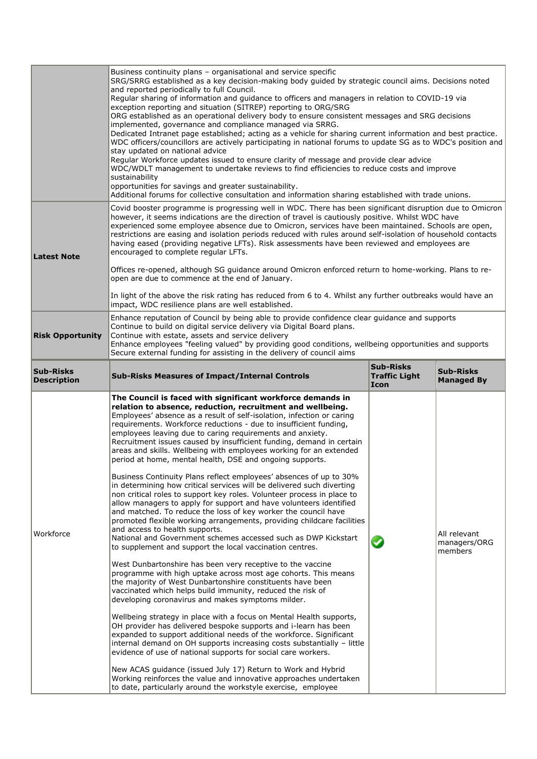|                                        | Business continuity plans - organisational and service specific<br>SRG/SRRG established as a key decision-making body quided by strategic council aims. Decisions noted<br>and reported periodically to full Council.<br>Regular sharing of information and guidance to officers and managers in relation to COVID-19 via<br>exception reporting and situation (SITREP) reporting to ORG/SRG<br>ORG established as an operational delivery body to ensure consistent messages and SRG decisions<br>implemented, governance and compliance managed via SRRG.<br>Dedicated Intranet page established; acting as a vehicle for sharing current information and best practice.<br>WDC officers/councillors are actively participating in national forums to update SG as to WDC's position and<br>stay updated on national advice<br>Regular Workforce updates issued to ensure clarity of message and provide clear advice<br>WDC/WDLT management to undertake reviews to find efficiencies to reduce costs and improve<br>sustainability<br>opportunities for savings and greater sustainability.<br>Additional forums for collective consultation and information sharing established with trade unions.                                                                                                                                                                                                                                                                                                                                                                                                                                                                                                                                                                                                                                                                                                                                                                                                                                    |                                                  |                                         |  |  |  |  |
|----------------------------------------|--------------------------------------------------------------------------------------------------------------------------------------------------------------------------------------------------------------------------------------------------------------------------------------------------------------------------------------------------------------------------------------------------------------------------------------------------------------------------------------------------------------------------------------------------------------------------------------------------------------------------------------------------------------------------------------------------------------------------------------------------------------------------------------------------------------------------------------------------------------------------------------------------------------------------------------------------------------------------------------------------------------------------------------------------------------------------------------------------------------------------------------------------------------------------------------------------------------------------------------------------------------------------------------------------------------------------------------------------------------------------------------------------------------------------------------------------------------------------------------------------------------------------------------------------------------------------------------------------------------------------------------------------------------------------------------------------------------------------------------------------------------------------------------------------------------------------------------------------------------------------------------------------------------------------------------------------------------------------------------------------------------------------------------------|--------------------------------------------------|-----------------------------------------|--|--|--|--|
| <b>Latest Note</b>                     | Covid booster programme is progressing well in WDC. There has been significant disruption due to Omicron<br>however, it seems indications are the direction of travel is cautiously positive. Whilst WDC have<br>experienced some employee absence due to Omicron, services have been maintained. Schools are open,<br>restrictions are easing and isolation periods reduced with rules around self-isolation of household contacts<br>having eased (providing negative LFTs). Risk assessments have been reviewed and employees are<br>encouraged to complete regular LFTs.<br>Offices re-opened, although SG guidance around Omicron enforced return to home-working. Plans to re-<br>open are due to commence at the end of January.<br>In light of the above the risk rating has reduced from 6 to 4. Whilst any further outbreaks would have an<br>impact, WDC resilience plans are well established.                                                                                                                                                                                                                                                                                                                                                                                                                                                                                                                                                                                                                                                                                                                                                                                                                                                                                                                                                                                                                                                                                                                                 |                                                  |                                         |  |  |  |  |
| <b>Risk Opportunity</b>                | Enhance reputation of Council by being able to provide confidence clear guidance and supports<br>Continue to build on digital service delivery via Digital Board plans.<br>Continue with estate, assets and service delivery<br>Enhance employees "feeling valued" by providing good conditions, wellbeing opportunities and supports<br>Secure external funding for assisting in the delivery of council aims                                                                                                                                                                                                                                                                                                                                                                                                                                                                                                                                                                                                                                                                                                                                                                                                                                                                                                                                                                                                                                                                                                                                                                                                                                                                                                                                                                                                                                                                                                                                                                                                                             |                                                  |                                         |  |  |  |  |
| <b>Sub-Risks</b><br><b>Description</b> | <b>Sub-Risks Measures of Impact/Internal Controls</b>                                                                                                                                                                                                                                                                                                                                                                                                                                                                                                                                                                                                                                                                                                                                                                                                                                                                                                                                                                                                                                                                                                                                                                                                                                                                                                                                                                                                                                                                                                                                                                                                                                                                                                                                                                                                                                                                                                                                                                                      | <b>Sub-Risks</b><br><b>Traffic Light</b><br>Icon | <b>Sub-Risks</b><br><b>Managed By</b>   |  |  |  |  |
| Workforce                              | The Council is faced with significant workforce demands in<br>relation to absence, reduction, recruitment and wellbeing.<br>Employees' absence as a result of self-isolation, infection or caring<br>requirements. Workforce reductions - due to insufficient funding,<br>employees leaving due to caring requirements and anxiety.<br>Recruitment issues caused by insufficient funding, demand in certain<br>areas and skills. Wellbeing with employees working for an extended<br>period at home, mental health, DSE and ongoing supports.<br>Business Continuity Plans reflect employees' absences of up to 30%<br>in determining how critical services will be delivered such diverting<br>non critical roles to support key roles. Volunteer process in place to<br>allow managers to apply for support and have volunteers identified<br>and matched. To reduce the loss of key worker the council have<br>promoted flexible working arrangements, providing childcare facilities<br>and access to health supports.<br>National and Government schemes accessed such as DWP Kickstart<br>to supplement and support the local vaccination centres.<br>West Dunbartonshire has been very receptive to the vaccine<br>programme with high uptake across most age cohorts. This means<br>the majority of West Dunbartonshire constituents have been<br>vaccinated which helps build immunity, reduced the risk of<br>developing coronavirus and makes symptoms milder.<br>Wellbeing strategy in place with a focus on Mental Health supports,<br>OH provider has delivered bespoke supports and i-learn has been<br>expanded to support additional needs of the workforce. Significant<br>internal demand on OH supports increasing costs substantially - little<br>evidence of use of national supports for social care workers.<br>New ACAS guidance (issued July 17) Return to Work and Hybrid<br>Working reinforces the value and innovative approaches undertaken<br>to date, particularly around the workstyle exercise, employee |                                                  | All relevant<br>managers/ORG<br>members |  |  |  |  |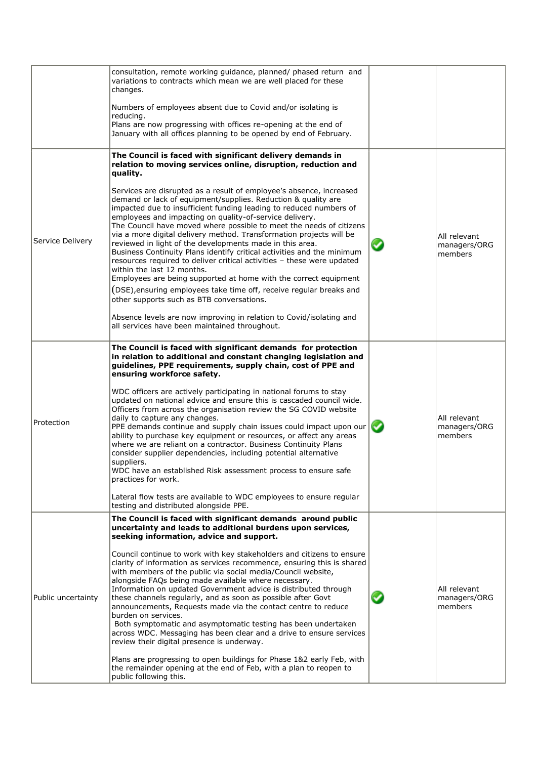|                    | consultation, remote working guidance, planned/ phased return and<br>variations to contracts which mean we are well placed for these<br>changes.                                                                                                                                                                                                                                                                                                                                                                                                                                                                                                                                                                                                                                                                                                                                                                                                                           |                                         |
|--------------------|----------------------------------------------------------------------------------------------------------------------------------------------------------------------------------------------------------------------------------------------------------------------------------------------------------------------------------------------------------------------------------------------------------------------------------------------------------------------------------------------------------------------------------------------------------------------------------------------------------------------------------------------------------------------------------------------------------------------------------------------------------------------------------------------------------------------------------------------------------------------------------------------------------------------------------------------------------------------------|-----------------------------------------|
|                    | Numbers of employees absent due to Covid and/or isolating is<br>reducing.<br>Plans are now progressing with offices re-opening at the end of                                                                                                                                                                                                                                                                                                                                                                                                                                                                                                                                                                                                                                                                                                                                                                                                                               |                                         |
|                    | January with all offices planning to be opened by end of February.                                                                                                                                                                                                                                                                                                                                                                                                                                                                                                                                                                                                                                                                                                                                                                                                                                                                                                         |                                         |
|                    | The Council is faced with significant delivery demands in<br>relation to moving services online, disruption, reduction and<br>quality.                                                                                                                                                                                                                                                                                                                                                                                                                                                                                                                                                                                                                                                                                                                                                                                                                                     |                                         |
| Service Delivery   | Services are disrupted as a result of employee's absence, increased<br>demand or lack of equipment/supplies. Reduction & quality are<br>impacted due to insufficient funding leading to reduced numbers of<br>employees and impacting on quality-of-service delivery.<br>The Council have moved where possible to meet the needs of citizens<br>via a more digital delivery method. Transformation projects will be<br>reviewed in light of the developments made in this area.<br>Business Continuity Plans identify critical activities and the minimum<br>resources required to deliver critical activities - these were updated<br>within the last 12 months.<br>Employees are being supported at home with the correct equipment<br>(DSE), ensuring employees take time off, receive regular breaks and                                                                                                                                                               | All relevant<br>managers/ORG<br>members |
|                    | other supports such as BTB conversations.<br>Absence levels are now improving in relation to Covid/isolating and<br>all services have been maintained throughout.                                                                                                                                                                                                                                                                                                                                                                                                                                                                                                                                                                                                                                                                                                                                                                                                          |                                         |
|                    | The Council is faced with significant demands for protection<br>in relation to additional and constant changing legislation and<br>guidelines, PPE requirements, supply chain, cost of PPE and<br>ensuring workforce safety.                                                                                                                                                                                                                                                                                                                                                                                                                                                                                                                                                                                                                                                                                                                                               |                                         |
| Protection         | WDC officers are actively participating in national forums to stay<br>updated on national advice and ensure this is cascaded council wide.<br>Officers from across the organisation review the SG COVID website<br>daily to capture any changes.<br>PPE demands continue and supply chain issues could impact upon our<br>ability to purchase key equipment or resources, or affect any areas<br>where we are reliant on a contractor. Business Continuity Plans<br>consider supplier dependencies, including potential alternative<br>suppliers.<br>WDC have an established Risk assessment process to ensure safe                                                                                                                                                                                                                                                                                                                                                        | All relevant<br>managers/ORG<br>members |
|                    | practices for work.<br>Lateral flow tests are available to WDC employees to ensure regular                                                                                                                                                                                                                                                                                                                                                                                                                                                                                                                                                                                                                                                                                                                                                                                                                                                                                 |                                         |
|                    | testing and distributed alongside PPE.<br>The Council is faced with significant demands around public                                                                                                                                                                                                                                                                                                                                                                                                                                                                                                                                                                                                                                                                                                                                                                                                                                                                      |                                         |
| Public uncertainty | uncertainty and leads to additional burdens upon services,<br>seeking information, advice and support.<br>Council continue to work with key stakeholders and citizens to ensure<br>clarity of information as services recommence, ensuring this is shared<br>with members of the public via social media/Council website,<br>alongside FAQs being made available where necessary.<br>Information on updated Government advice is distributed through<br>these channels regularly, and as soon as possible after Govt<br>announcements, Requests made via the contact centre to reduce<br>burden on services.<br>Both symptomatic and asymptomatic testing has been undertaken<br>across WDC. Messaging has been clear and a drive to ensure services<br>review their digital presence is underway.<br>Plans are progressing to open buildings for Phase 1&2 early Feb, with<br>the remainder opening at the end of Feb, with a plan to reopen to<br>public following this. | All relevant<br>managers/ORG<br>members |